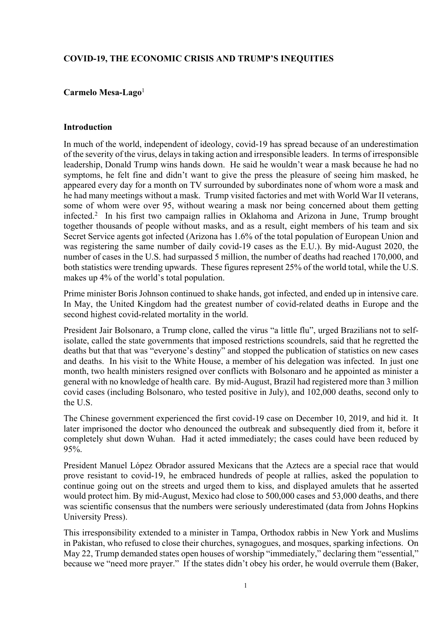### **COVID-19, THE ECONOMIC CRISIS AND TRUMP'S INEQUITIES**

### **Carmelo Mesa-Lago**<sup>1</sup>

#### **Introduction**

In much of the world, independent of ideology, covid-19 has spread because of an underestimation of the severity of the virus, delays in taking action and irresponsible leaders. In terms of irresponsible leadership, Donald Trump wins hands down. He said he wouldn't wear a mask because he had no symptoms, he felt fine and didn't want to give the press the pleasure of seeing him masked, he appeared every day for a month on TV surrounded by subordinates none of whom wore a mask and he had many meetings without a mask. Trump visited factories and met with World War II veterans, some of whom were over 95, without wearing a mask nor being concerned about them getting infected.2 In his first two campaign rallies in Oklahoma and Arizona in June, Trump brought together thousands of people without masks, and as a result, eight members of his team and six Secret Service agents got infected (Arizona has 1.6% of the total population of European Union and was registering the same number of daily covid-19 cases as the E.U.). By mid-August 2020, the number of cases in the U.S. had surpassed 5 million, the number of deaths had reached 170,000, and both statistics were trending upwards. These figures represent 25% of the world total, while the U.S. makes up 4% of the world's total population.

Prime minister Boris Johnson continued to shake hands, got infected, and ended up in intensive care. In May, the United Kingdom had the greatest number of covid-related deaths in Europe and the second highest covid-related mortality in the world.

President Jair Bolsonaro, a Trump clone, called the virus "a little flu", urged Brazilians not to selfisolate, called the state governments that imposed restrictions scoundrels, said that he regretted the deaths but that that was "everyone's destiny" and stopped the publication of statistics on new cases and deaths. In his visit to the White House, a member of his delegation was infected. In just one month, two health ministers resigned over conflicts with Bolsonaro and he appointed as minister a general with no knowledge of health care. By mid-August, Brazil had registered more than 3 million covid cases (including Bolsonaro, who tested positive in July), and 102,000 deaths, second only to the U.S.

The Chinese government experienced the first covid-19 case on December 10, 2019, and hid it. It later imprisoned the doctor who denounced the outbreak and subsequently died from it, before it completely shut down Wuhan. Had it acted immediately; the cases could have been reduced by 95%.

President Manuel López Obrador assured Mexicans that the Aztecs are a special race that would prove resistant to covid-19, he embraced hundreds of people at rallies, asked the population to continue going out on the streets and urged them to kiss, and displayed amulets that he asserted would protect him. By mid-August, Mexico had close to 500,000 cases and 53,000 deaths, and there was scientific consensus that the numbers were seriously underestimated (data from Johns Hopkins University Press).

This irresponsibility extended to a minister in Tampa, Orthodox rabbis in New York and Muslims in Pakistan, who refused to close their churches, synagogues, and mosques, sparking infections. On May 22, Trump demanded states open houses of worship "immediately," declaring them "essential," because we "need more prayer." If the states didn't obey his order, he would overrule them (Baker,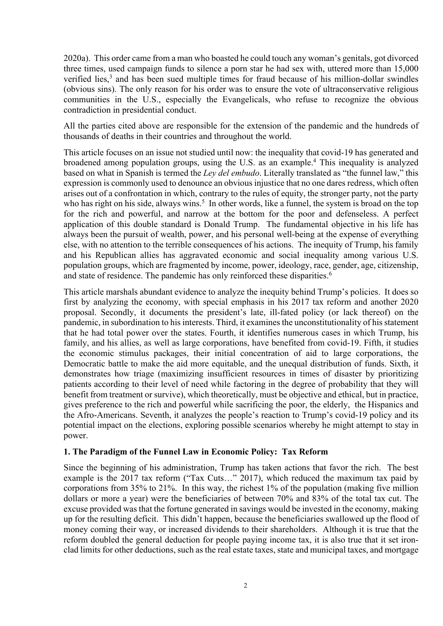2020a). This order came from a man who boasted he could touch any woman's genitals, got divorced three times, used campaign funds to silence a porn star he had sex with, uttered more than 15,000 verified lies,<sup>3</sup> and has been sued multiple times for fraud because of his million-dollar swindles (obvious sins). The only reason for his order was to ensure the vote of ultraconservative religious communities in the U.S., especially the Evangelicals, who refuse to recognize the obvious contradiction in presidential conduct.

All the parties cited above are responsible for the extension of the pandemic and the hundreds of thousands of deaths in their countries and throughout the world.

This article focuses on an issue not studied until now: the inequality that covid-19 has generated and broadened among population groups, using the U.S. as an example.4 This inequality is analyzed based on what in Spanish is termed the *Ley del embudo*. Literally translated as "the funnel law," this expression is commonly used to denounce an obvious injustice that no one dares redress, which often arises out of a confrontation in which, contrary to the rules of equity, the stronger party, not the party who has right on his side, always wins.<sup>5</sup> In other words, like a funnel, the system is broad on the top for the rich and powerful, and narrow at the bottom for the poor and defenseless. A perfect application of this double standard is Donald Trump. The fundamental objective in his life has always been the pursuit of wealth, power, and his personal well-being at the expense of everything else, with no attention to the terrible consequences of his actions. The inequity of Trump, his family and his Republican allies has aggravated economic and social inequality among various U.S. population groups, which are fragmented by income, power, ideology, race, gender, age, citizenship, and state of residence. The pandemic has only reinforced these disparities.<sup>6</sup>

This article marshals abundant evidence to analyze the inequity behind Trump's policies. It does so first by analyzing the economy, with special emphasis in his 2017 tax reform and another 2020 proposal. Secondly, it documents the president's late, ill-fated policy (or lack thereof) on the pandemic, in subordination to his interests. Third, it examines the unconstitutionality of his statement that he had total power over the states. Fourth, it identifies numerous cases in which Trump, his family, and his allies, as well as large corporations, have benefited from covid-19. Fifth, it studies the economic stimulus packages, their initial concentration of aid to large corporations, the Democratic battle to make the aid more equitable, and the unequal distribution of funds. Sixth, it demonstrates how triage (maximizing insufficient resources in times of disaster by prioritizing patients according to their level of need while factoring in the degree of probability that they will benefit from treatment or survive), which theoretically, must be objective and ethical, but in practice, gives preference to the rich and powerful while sacrificing the poor, the elderly, the Hispanics and the Afro-Americans. Seventh, it analyzes the people's reaction to Trump's covid-19 policy and its potential impact on the elections, exploring possible scenarios whereby he might attempt to stay in power.

## **1. The Paradigm of the Funnel Law in Economic Policy: Tax Reform**

Since the beginning of his administration, Trump has taken actions that favor the rich. The best example is the 2017 tax reform ("Tax Cuts…" 2017), which reduced the maximum tax paid by corporations from 35% to 21%. In this way, the richest 1% of the population (making five million dollars or more a year) were the beneficiaries of between 70% and 83% of the total tax cut. The excuse provided was that the fortune generated in savings would be invested in the economy, making up for the resulting deficit. This didn't happen, because the beneficiaries swallowed up the flood of money coming their way, or increased dividends to their shareholders. Although it is true that the reform doubled the general deduction for people paying income tax, it is also true that it set ironclad limits for other deductions, such as the real estate taxes, state and municipal taxes, and mortgage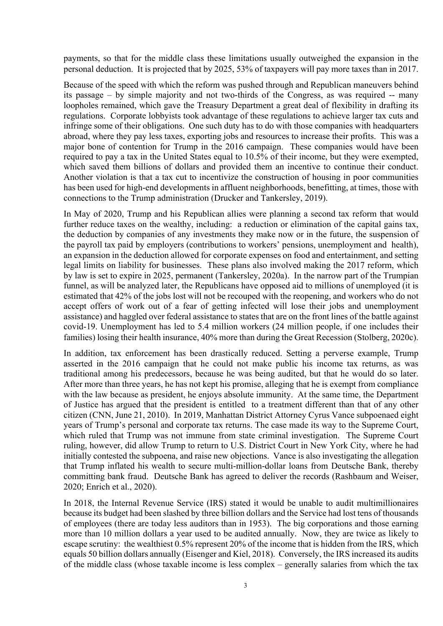payments, so that for the middle class these limitations usually outweighed the expansion in the personal deduction. It is projected that by 2025, 53% of taxpayers will pay more taxes than in 2017.

Because of the speed with which the reform was pushed through and Republican maneuvers behind its passage – by simple majority and not two-thirds of the Congress, as was required -- many loopholes remained, which gave the Treasury Department a great deal of flexibility in drafting its regulations. Corporate lobbyists took advantage of these regulations to achieve larger tax cuts and infringe some of their obligations. One such duty has to do with those companies with headquarters abroad, where they pay less taxes, exporting jobs and resources to increase their profits. This was a major bone of contention for Trump in the 2016 campaign. These companies would have been required to pay a tax in the United States equal to 10.5% of their income, but they were exempted, which saved them billions of dollars and provided them an incentive to continue their conduct. Another violation is that a tax cut to incentivize the construction of housing in poor communities has been used for high-end developments in affluent neighborhoods, benefitting, at times, those with connections to the Trump administration (Drucker and Tankersley, 2019).

In May of 2020, Trump and his Republican allies were planning a second tax reform that would further reduce taxes on the wealthy, including: a reduction or elimination of the capital gains tax, the deduction by companies of any investments they make now or in the future, the suspension of the payroll tax paid by employers (contributions to workers' pensions, unemployment and health), an expansion in the deduction allowed for corporate expenses on food and entertainment, and setting legal limits on liability for businesses. These plans also involved making the 2017 reform, which by law is set to expire in 2025, permanent (Tankersley, 2020a). In the narrow part of the Trumpian funnel, as will be analyzed later, the Republicans have opposed aid to millions of unemployed (it is estimated that 42% of the jobs lost will not be recouped with the reopening, and workers who do not accept offers of work out of a fear of getting infected will lose their jobs and unemployment assistance) and haggled over federal assistance to states that are on the front lines of the battle against covid-19. Unemployment has led to 5.4 million workers (24 million people, if one includes their families) losing their health insurance, 40% more than during the Great Recession (Stolberg, 2020c).

In addition, tax enforcement has been drastically reduced. Setting a perverse example, Trump asserted in the 2016 campaign that he could not make public his income tax returns, as was traditional among his predecessors, because he was being audited, but that he would do so later. After more than three years, he has not kept his promise, alleging that he is exempt from compliance with the law because as president, he enjoys absolute immunity. At the same time, the Department of Justice has argued that the president is entitled to a treatment different than that of any other citizen (CNN, June 21, 2010). In 2019, Manhattan District Attorney Cyrus Vance subpoenaed eight years of Trump's personal and corporate tax returns. The case made its way to the Supreme Court, which ruled that Trump was not immune from state criminal investigation. The Supreme Court ruling, however, did allow Trump to return to U.S. District Court in New York City, where he had initially contested the subpoena, and raise new objections. Vance is also investigating the allegation that Trump inflated his wealth to secure multi-million-dollar loans from Deutsche Bank, thereby committing bank fraud. Deutsche Bank has agreed to deliver the records (Rashbaum and Weiser, 2020; Enrich et al., 2020).

In 2018, the Internal Revenue Service (IRS) stated it would be unable to audit multimillionaires because its budget had been slashed by three billion dollars and the Service had lost tens of thousands of employees (there are today less auditors than in 1953). The big corporations and those earning more than 10 million dollars a year used to be audited annually. Now, they are twice as likely to escape scrutiny: the wealthiest 0.5% represent 20% of the income that is hidden from the IRS, which equals 50 billion dollars annually (Eisenger and Kiel, 2018). Conversely, the IRS increased its audits of the middle class (whose taxable income is less complex – generally salaries from which the tax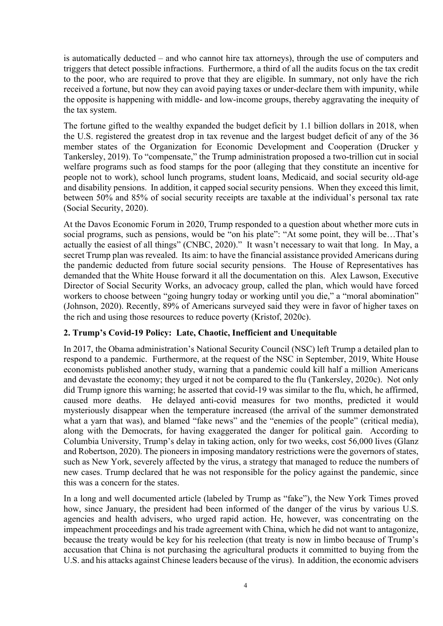is automatically deducted – and who cannot hire tax attorneys), through the use of computers and triggers that detect possible infractions. Furthermore, a third of all the audits focus on the tax credit to the poor, who are required to prove that they are eligible. In summary, not only have the rich received a fortune, but now they can avoid paying taxes or under-declare them with impunity, while the opposite is happening with middle- and low-income groups, thereby aggravating the inequity of the tax system.

The fortune gifted to the wealthy expanded the budget deficit by 1.1 billion dollars in 2018, when the U.S. registered the greatest drop in tax revenue and the largest budget deficit of any of the 36 member states of the Organization for Economic Development and Cooperation (Drucker y Tankersley, 2019). To "compensate," the Trump administration proposed a two-trillion cut in social welfare programs such as food stamps for the poor (alleging that they constitute an incentive for people not to work), school lunch programs, student loans, Medicaid, and social security old-age and disability pensions. In addition, it capped social security pensions. When they exceed this limit, between 50% and 85% of social security receipts are taxable at the individual's personal tax rate (Social Security, 2020).

At the Davos Economic Forum in 2020, Trump responded to a question about whether more cuts in social programs, such as pensions, would be "on his plate": "At some point, they will be...That's actually the easiest of all things" (CNBC, 2020)." It wasn't necessary to wait that long. In May, a secret Trump plan was revealed. Its aim: to have the financial assistance provided Americans during the pandemic deducted from future social security pensions. The House of Representatives has demanded that the White House forward it all the documentation on this. Alex Lawson, Executive Director of Social Security Works, an advocacy group, called the plan, which would have forced workers to choose between "going hungry today or working until you die," a "moral abomination" (Johnson, 2020). Recently, 89% of Americans surveyed said they were in favor of higher taxes on the rich and using those resources to reduce poverty (Kristof, 2020c).

# **2. Trump's Covid-19 Policy: Late, Chaotic, Inefficient and Unequitable**

In 2017, the Obama administration's National Security Council (NSC) left Trump a detailed plan to respond to a pandemic. Furthermore, at the request of the NSC in September, 2019, White House economists published another study, warning that a pandemic could kill half a million Americans and devastate the economy; they urged it not be compared to the flu (Tankersley, 2020c). Not only did Trump ignore this warning; he asserted that covid-19 was similar to the flu, which, he affirmed, caused more deaths. He delayed anti-covid measures for two months, predicted it would mysteriously disappear when the temperature increased (the arrival of the summer demonstrated what a yarn that was), and blamed "fake news" and the "enemies of the people" (critical media), along with the Democrats, for having exaggerated the danger for political gain. According to Columbia University, Trump's delay in taking action, only for two weeks, cost 56,000 lives (Glanz and Robertson, 2020). The pioneers in imposing mandatory restrictions were the governors of states, such as New York, severely affected by the virus, a strategy that managed to reduce the numbers of new cases. Trump declared that he was not responsible for the policy against the pandemic, since this was a concern for the states.

In a long and well documented article (labeled by Trump as "fake"), the New York Times proved how, since January, the president had been informed of the danger of the virus by various U.S. agencies and health advisers, who urged rapid action. He, however, was concentrating on the impeachment proceedings and his trade agreement with China, which he did not want to antagonize, because the treaty would be key for his reelection (that treaty is now in limbo because of Trump's accusation that China is not purchasing the agricultural products it committed to buying from the U.S. and his attacks against Chinese leaders because of the virus). In addition, the economic advisers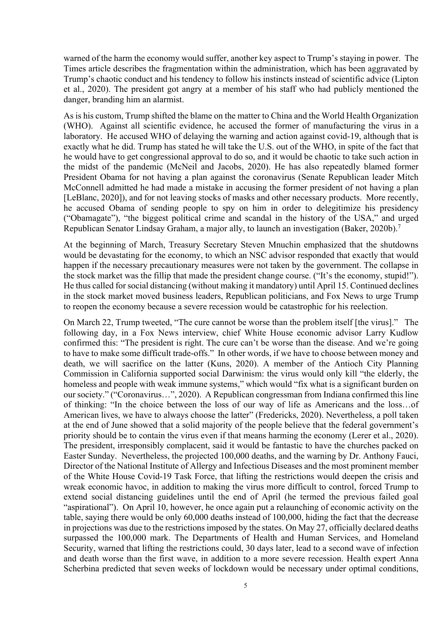warned of the harm the economy would suffer, another key aspect to Trump's staying in power. The Times article describes the fragmentation within the administration, which has been aggravated by Trump's chaotic conduct and his tendency to follow his instincts instead of scientific advice (Lipton et al., 2020). The president got angry at a member of his staff who had publicly mentioned the danger, branding him an alarmist.

As is his custom, Trump shifted the blame on the matter to China and the World Health Organization (WHO). Against all scientific evidence, he accused the former of manufacturing the virus in a laboratory. He accused WHO of delaying the warning and action against covid-19, although that is exactly what he did. Trump has stated he will take the U.S. out of the WHO, in spite of the fact that he would have to get congressional approval to do so, and it would be chaotic to take such action in the midst of the pandemic (McNeil and Jacobs, 2020). He has also repeatedly blamed former President Obama for not having a plan against the coronavirus (Senate Republican leader Mitch McConnell admitted he had made a mistake in accusing the former president of not having a plan [LeBlanc, 2020]), and for not leaving stocks of masks and other necessary products. More recently, he accused Obama of sending people to spy on him in order to delegitimize his presidency ("Obamagate"), "the biggest political crime and scandal in the history of the USA," and urged Republican Senator Lindsay Graham, a major ally, to launch an investigation (Baker, 2020b).<sup>7</sup>

At the beginning of March, Treasury Secretary Steven Mnuchin emphasized that the shutdowns would be devastating for the economy, to which an NSC advisor responded that exactly that would happen if the necessary precautionary measures were not taken by the government. The collapse in the stock market was the fillip that made the president change course. ("It's the economy, stupid!"). He thus called for social distancing (without making it mandatory) until April 15. Continued declines in the stock market moved business leaders, Republican politicians, and Fox News to urge Trump to reopen the economy because a severe recession would be catastrophic for his reelection.

On March 22, Trump tweeted, "The cure cannot be worse than the problem itself [the virus]." The following day, in a Fox News interview, chief White House economic advisor Larry Kudlow confirmed this: "The president is right. The cure can't be worse than the disease. And we're going to have to make some difficult trade-offs." In other words, if we have to choose between money and death, we will sacrifice on the latter (Kuns, 2020). A member of the Antioch City Planning Commission in California supported social Darwinism: the virus would only kill "the elderly, the homeless and people with weak immune systems," which would "fix what is a significant burden on our society." ("Coronavirus…", 2020). A Republican congressman from Indiana confirmed this line of thinking: "In the choice between the loss of our way of life as Americans and the loss…of American lives, we have to always choose the latter" (Fredericks, 2020). Nevertheless, a poll taken at the end of June showed that a solid majority of the people believe that the federal government's priority should be to contain the virus even if that means harming the economy (Lerer et al., 2020). The president, irresponsibly complacent, said it would be fantastic to have the churches packed on Easter Sunday. Nevertheless, the projected 100,000 deaths, and the warning by Dr. Anthony Fauci, Director of the National Institute of Allergy and Infectious Diseases and the most prominent member of the White House Covid-19 Task Force, that lifting the restrictions would deepen the crisis and wreak economic havoc, in addition to making the virus more difficult to control, forced Trump to extend social distancing guidelines until the end of April (he termed the previous failed goal "aspirational"). On April 10, however, he once again put a relaunching of economic activity on the table, saying there would be only 60,000 deaths instead of 100,000, hiding the fact that the decrease in projections was due to the restrictions imposed by the states. On May 27, officially declared deaths surpassed the 100,000 mark. The Departments of Health and Human Services, and Homeland Security, warned that lifting the restrictions could, 30 days later, lead to a second wave of infection and death worse than the first wave, in addition to a more severe recession. Health expert Anna Scherbina predicted that seven weeks of lockdown would be necessary under optimal conditions,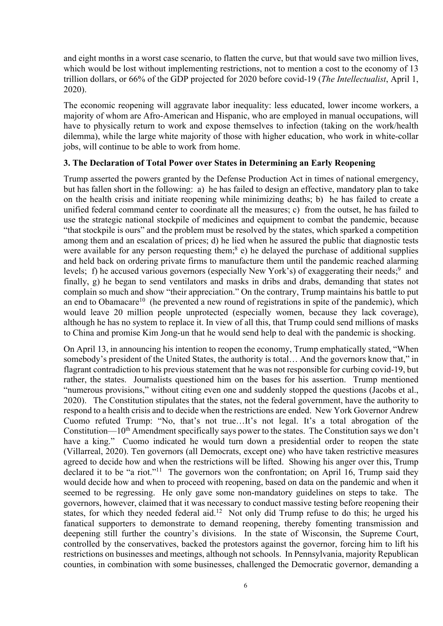and eight months in a worst case scenario, to flatten the curve, but that would save two million lives, which would be lost without implementing restrictions, not to mention a cost to the economy of 13 trillion dollars, or 66% of the GDP projected for 2020 before covid-19 (*The Intellectualist*, April 1, 2020).

The economic reopening will aggravate labor inequality: less educated, lower income workers, a majority of whom are Afro-American and Hispanic, who are employed in manual occupations, will have to physically return to work and expose themselves to infection (taking on the work/health dilemma), while the large white majority of those with higher education, who work in white-collar jobs, will continue to be able to work from home.

# **3. The Declaration of Total Power over States in Determining an Early Reopening**

Trump asserted the powers granted by the Defense Production Act in times of national emergency, but has fallen short in the following: a) he has failed to design an effective, mandatory plan to take on the health crisis and initiate reopening while minimizing deaths; b) he has failed to create a unified federal command center to coordinate all the measures; c) from the outset, he has failed to use the strategic national stockpile of medicines and equipment to combat the pandemic, because "that stockpile is ours" and the problem must be resolved by the states, which sparked a competition among them and an escalation of prices; d) he lied when he assured the public that diagnostic tests were available for any person requesting them;<sup>8</sup> e) he delayed the purchase of additional supplies and held back on ordering private firms to manufacture them until the pandemic reached alarming levels; f) he accused various governors (especially New York's) of exaggerating their needs;<sup>9</sup> and finally, g) he began to send ventilators and masks in dribs and drabs, demanding that states not complain so much and show "their appreciation." On the contrary, Trump maintains his battle to put an end to Obamacare<sup>10</sup> (he prevented a new round of registrations in spite of the pandemic), which would leave 20 million people unprotected (especially women, because they lack coverage), although he has no system to replace it. In view of all this, that Trump could send millions of masks to China and promise Kim Jong-un that he would send help to deal with the pandemic is shocking.

On April 13, in announcing his intention to reopen the economy, Trump emphatically stated, "When somebody's president of the United States, the authority is total… And the governors know that," in flagrant contradiction to his previous statement that he was not responsible for curbing covid-19, but rather, the states. Journalists questioned him on the bases for his assertion. Trump mentioned "numerous provisions," without citing even one and suddenly stopped the questions (Jacobs et al., 2020). The Constitution stipulates that the states, not the federal government, have the authority to respond to a health crisis and to decide when the restrictions are ended. New York Governor Andrew Cuomo refuted Trump: "No, that's not true…It's not legal. It's a total abrogation of the Constitution—10<sup>th</sup> Amendment specifically says power to the states. The Constitution says we don't have a king." Cuomo indicated he would turn down a presidential order to reopen the state (Villarreal, 2020). Ten governors (all Democrats, except one) who have taken restrictive measures agreed to decide how and when the restrictions will be lifted. Showing his anger over this, Trump declared it to be "a riot."<sup>11</sup> The governors won the confrontation; on April 16, Trump said they would decide how and when to proceed with reopening, based on data on the pandemic and when it seemed to be regressing. He only gave some non-mandatory guidelines on steps to take. The governors, however, claimed that it was necessary to conduct massive testing before reopening their states, for which they needed federal aid.<sup>12</sup> Not only did Trump refuse to do this; he urged his fanatical supporters to demonstrate to demand reopening, thereby fomenting transmission and deepening still further the country's divisions. In the state of Wisconsin, the Supreme Court, controlled by the conservatives, backed the protestors against the governor, forcing him to lift his restrictions on businesses and meetings, although not schools. In Pennsylvania, majority Republican counties, in combination with some businesses, challenged the Democratic governor, demanding a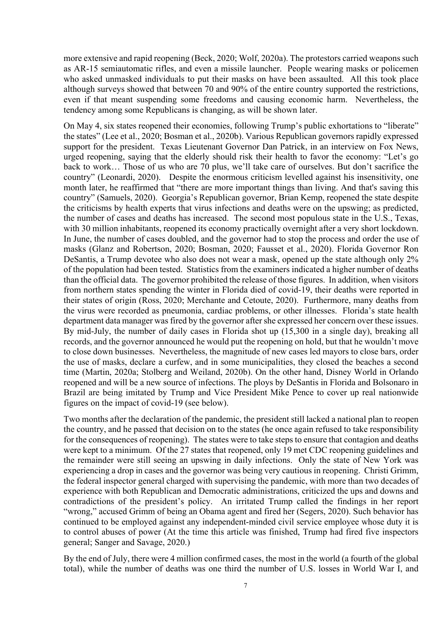more extensive and rapid reopening (Beck, 2020; Wolf, 2020a). The protestors carried weapons such as AR-15 semiautomatic rifles, and even a missile launcher. People wearing masks or policemen who asked unmasked individuals to put their masks on have been assaulted. All this took place although surveys showed that between 70 and 90% of the entire country supported the restrictions, even if that meant suspending some freedoms and causing economic harm. Nevertheless, the tendency among some Republicans is changing, as will be shown later.

On May 4, six states reopened their economies, following Trump's public exhortations to "liberate" the states" (Lee et al., 2020; Bosman et al., 2020b). Various Republican governors rapidly expressed support for the president. Texas Lieutenant Governor Dan Patrick, in an interview on Fox News, urged reopening, saying that the elderly should risk their health to favor the economy: "Let's go back to work… Those of us who are 70 plus, we'll take care of ourselves. But don't sacrifice the country" (Leonardi, 2020). Despite the enormous criticism levelled against his insensitivity, one month later, he reaffirmed that "there are more important things than living. And that's saving this country" (Samuels, 2020). Georgia's Republican governor, Brian Kemp, reopened the state despite the criticisms by health experts that virus infections and deaths were on the upswing; as predicted, the number of cases and deaths has increased. The second most populous state in the U.S., Texas, with 30 million inhabitants, reopened its economy practically overnight after a very short lockdown. In June, the number of cases doubled, and the governor had to stop the process and order the use of masks (Glanz and Robertson, 2020; Bosman, 2020; Fausset et al., 2020). Florida Governor Ron DeSantis, a Trump devotee who also does not wear a mask, opened up the state although only 2% of the population had been tested. Statistics from the examiners indicated a higher number of deaths than the official data. The governor prohibited the release of those figures. In addition, when visitors from northern states spending the winter in Florida died of covid-19, their deaths were reported in their states of origin (Ross, 2020; Merchante and Cetoute, 2020). Furthermore, many deaths from the virus were recorded as pneumonia, cardiac problems, or other illnesses. Florida's state health department data manager was fired by the governor after she expressed her concern over these issues. By mid-July, the number of daily cases in Florida shot up (15,300 in a single day), breaking all records, and the governor announced he would put the reopening on hold, but that he wouldn't move to close down businesses. Nevertheless, the magnitude of new cases led mayors to close bars, order the use of masks, declare a curfew, and in some municipalities, they closed the beaches a second time (Martin, 2020a; Stolberg and Weiland, 2020b). On the other hand, Disney World in Orlando reopened and will be a new source of infections. The ploys by DeSantis in Florida and Bolsonaro in Brazil are being imitated by Trump and Vice President Mike Pence to cover up real nationwide figures on the impact of covid-19 (see below).

Two months after the declaration of the pandemic, the president still lacked a national plan to reopen the country, and he passed that decision on to the states (he once again refused to take responsibility for the consequences of reopening). The states were to take steps to ensure that contagion and deaths were kept to a minimum. Of the 27 states that reopened, only 19 met CDC reopening guidelines and the remainder were still seeing an upswing in daily infections. Only the state of New York was experiencing a drop in cases and the governor was being very cautious in reopening. Christi Grimm, the federal inspector general charged with supervising the pandemic, with more than two decades of experience with both Republican and Democratic administrations, criticized the ups and downs and contradictions of the president's policy. An irritated Trump called the findings in her report "wrong," accused Grimm of being an Obama agent and fired her (Segers, 2020). Such behavior has continued to be employed against any independent-minded civil service employee whose duty it is to control abuses of power (At the time this article was finished, Trump had fired five inspectors general; Sanger and Savage, 2020.)

By the end of July, there were 4 million confirmed cases, the most in the world (a fourth of the global total), while the number of deaths was one third the number of U.S. losses in World War I, and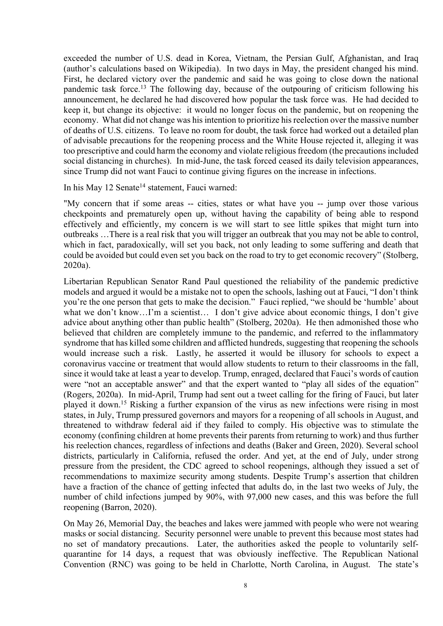exceeded the number of U.S. dead in Korea, Vietnam, the Persian Gulf, Afghanistan, and Iraq (author's calculations based on Wikipedia). In two days in May, the president changed his mind. First, he declared victory over the pandemic and said he was going to close down the national pandemic task force.<sup>13</sup> The following day, because of the outpouring of criticism following his announcement, he declared he had discovered how popular the task force was. He had decided to keep it, but change its objective: it would no longer focus on the pandemic, but on reopening the economy. What did not change was his intention to prioritize his reelection over the massive number of deaths of U.S. citizens. To leave no room for doubt, the task force had worked out a detailed plan of advisable precautions for the reopening process and the White House rejected it, alleging it was too prescriptive and could harm the economy and violate religious freedom (the precautions included social distancing in churches). In mid-June, the task forced ceased its daily television appearances, since Trump did not want Fauci to continue giving figures on the increase in infections.

In his May 12 Senate<sup>14</sup> statement, Fauci warned:

"My concern that if some areas -- cities, states or what have you -- jump over those various checkpoints and prematurely open up, without having the capability of being able to respond effectively and efficiently, my concern is we will start to see little spikes that might turn into outbreaks …There is a real risk that you will trigger an outbreak that you may not be able to control, which in fact, paradoxically, will set you back, not only leading to some suffering and death that could be avoided but could even set you back on the road to try to get economic recovery" (Stolberg, 2020a).

Libertarian Republican Senator Rand Paul questioned the reliability of the pandemic predictive models and argued it would be a mistake not to open the schools, lashing out at Fauci, "I don't think you're the one person that gets to make the decision." Fauci replied, "we should be 'humble' about what we don't know...I'm a scientist... I don't give advice about economic things, I don't give advice about anything other than public health" (Stolberg, 2020a). He then admonished those who believed that children are completely immune to the pandemic, and referred to the inflammatory syndrome that has killed some children and afflicted hundreds, suggesting that reopening the schools would increase such a risk. Lastly, he asserted it would be illusory for schools to expect a coronavirus vaccine or treatment that would allow students to return to their classrooms in the fall, since it would take at least a year to develop. Trump, enraged, declared that Fauci's words of caution were "not an acceptable answer" and that the expert wanted to "play all sides of the equation" (Rogers, 2020a). In mid-April, Trump had sent out a tweet calling for the firing of Fauci, but later played it down. <sup>15</sup> Risking a further expansion of the virus as new infections were rising in most states, in July, Trump pressured governors and mayors for a reopening of all schools in August, and threatened to withdraw federal aid if they failed to comply. His objective was to stimulate the economy (confining children at home prevents their parents from returning to work) and thus further his reelection chances, regardless of infections and deaths (Baker and Green, 2020). Several school districts, particularly in California, refused the order. And yet, at the end of July, under strong pressure from the president, the CDC agreed to school reopenings, although they issued a set of recommendations to maximize security among students. Despite Trump's assertion that children have a fraction of the chance of getting infected that adults do, in the last two weeks of July, the number of child infections jumped by 90%, with 97,000 new cases, and this was before the full reopening (Barron, 2020).

On May 26, Memorial Day, the beaches and lakes were jammed with people who were not wearing masks or social distancing. Security personnel were unable to prevent this because most states had no set of mandatory precautions. Later, the authorities asked the people to voluntarily selfquarantine for 14 days, a request that was obviously ineffective. The Republican National Convention (RNC) was going to be held in Charlotte, North Carolina, in August. The state's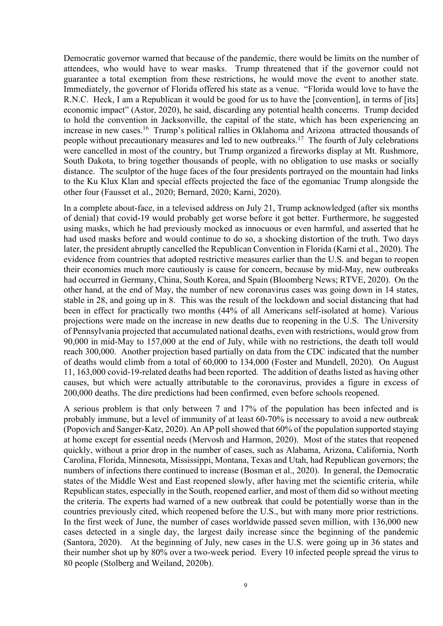Democratic governor warned that because of the pandemic, there would be limits on the number of attendees, who would have to wear masks. Trump threatened that if the governor could not guarantee a total exemption from these restrictions, he would move the event to another state. Immediately, the governor of Florida offered his state as a venue. "Florida would love to have the R.N.C. Heck, I am a Republican it would be good for us to have the [convention], in terms of [its] economic impact" (Astor, 2020), he said, discarding any potential health concerns. Trump decided to hold the convention in Jacksonville, the capital of the state, which has been experiencing an increase in new cases.16 Trump's political rallies in Oklahoma and Arizona attracted thousands of people without precautionary measures and led to new outbreaks.<sup>17</sup> The fourth of July celebrations were cancelled in most of the country, but Trump organized a fireworks display at Mt. Rushmore, South Dakota, to bring together thousands of people, with no obligation to use masks or socially distance. The sculptor of the huge faces of the four presidents portrayed on the mountain had links to the Ku Klux Klan and special effects projected the face of the egomaniac Trump alongside the other four (Fausset et al., 2020; Bernard, 2020; Karni, 2020).

In a complete about-face, in a televised address on July 21, Trump acknowledged (after six months of denial) that covid-19 would probably get worse before it got better. Furthermore, he suggested using masks, which he had previously mocked as innocuous or even harmful, and asserted that he had used masks before and would continue to do so, a shocking distortion of the truth. Two days later, the president abruptly cancelled the Republican Convention in Florida (Karni et al., 2020). The evidence from countries that adopted restrictive measures earlier than the U.S. and began to reopen their economies much more cautiously is cause for concern, because by mid-May, new outbreaks had occurred in Germany, China, South Korea, and Spain (Bloomberg News; RTVE, 2020). On the other hand, at the end of May, the number of new coronavirus cases was going down in 14 states, stable in 28, and going up in 8. This was the result of the lockdown and social distancing that had been in effect for practically two months (44% of all Americans self-isolated at home). Various projections were made on the increase in new deaths due to reopening in the U.S. The University of Pennsylvania projected that accumulated national deaths, even with restrictions, would grow from 90,000 in mid-May to 157,000 at the end of July, while with no restrictions, the death toll would reach 300,000. Another projection based partially on data from the CDC indicated that the number of deaths would climb from a total of 60,000 to 134,000 (Foster and Mundell, 2020). On August 11, 163,000 covid-19-related deaths had been reported. The addition of deaths listed as having other causes, but which were actually attributable to the coronavirus, provides a figure in excess of 200,000 deaths. The dire predictions had been confirmed, even before schools reopened.

A serious problem is that only between 7 and 17% of the population has been infected and is probably immune, but a level of immunity of at least 60-70% is necessary to avoid a new outbreak (Popovich and Sanger-Katz, 2020). An AP poll showed that 60% of the population supported staying at home except for essential needs (Mervosh and Harmon, 2020). Most of the states that reopened quickly, without a prior drop in the number of cases, such as Alabama, Arizona, California, North Carolina, Florida, Minnesota, Mississippi, Montana, Texas and Utah, had Republican governors; the numbers of infections there continued to increase (Bosman et al., 2020). In general, the Democratic states of the Middle West and East reopened slowly, after having met the scientific criteria, while Republican states, especially in the South, reopened earlier, and most of them did so without meeting the criteria. The experts had warned of a new outbreak that could be potentially worse than in the countries previously cited, which reopened before the U.S., but with many more prior restrictions. In the first week of June, the number of cases worldwide passed seven million, with 136,000 new cases detected in a single day, the largest daily increase since the beginning of the pandemic (Santora, 2020). At the beginning of July, new cases in the U.S. were going up in 36 states and their number shot up by 80% over a two-week period. Every 10 infected people spread the virus to 80 people (Stolberg and Weiland, 2020b).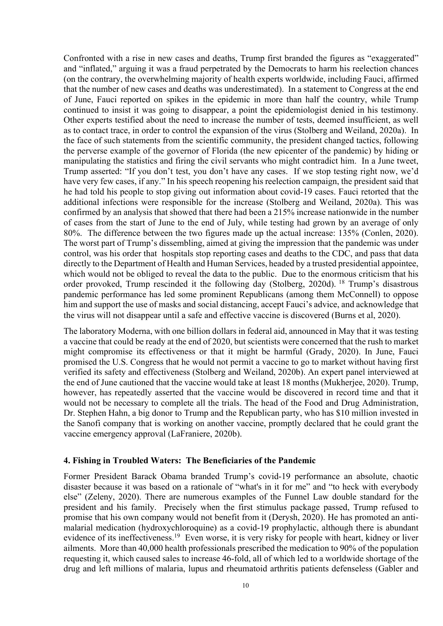Confronted with a rise in new cases and deaths, Trump first branded the figures as "exaggerated" and "inflated," arguing it was a fraud perpetrated by the Democrats to harm his reelection chances (on the contrary, the overwhelming majority of health experts worldwide, including Fauci, affirmed that the number of new cases and deaths was underestimated). In a statement to Congress at the end of June, Fauci reported on spikes in the epidemic in more than half the country, while Trump continued to insist it was going to disappear, a point the epidemiologist denied in his testimony. Other experts testified about the need to increase the number of tests, deemed insufficient, as well as to contact trace, in order to control the expansion of the virus (Stolberg and Weiland, 2020a). In the face of such statements from the scientific community, the president changed tactics, following the perverse example of the governor of Florida (the new epicenter of the pandemic) by hiding or manipulating the statistics and firing the civil servants who might contradict him. In a June tweet, Trump asserted: "If you don't test, you don't have any cases. If we stop testing right now, we'd have very few cases, if any." In his speech reopening his reelection campaign, the president said that he had told his people to stop giving out information about covid-19 cases. Fauci retorted that the additional infections were responsible for the increase (Stolberg and Weiland, 2020a). This was confirmed by an analysis that showed that there had been a 215% increase nationwide in the number of cases from the start of June to the end of July, while testing had grown by an average of only 80%. The difference between the two figures made up the actual increase: 135% (Conlen, 2020). The worst part of Trump's dissembling, aimed at giving the impression that the pandemic was under control, was his order that hospitals stop reporting cases and deaths to the CDC, and pass that data directly to the Department of Health and Human Services, headed by a trusted presidential appointee, which would not be obliged to reveal the data to the public. Due to the enormous criticism that his order provoked, Trump rescinded it the following day (Stolberg, 2020d). <sup>18</sup> Trump's disastrous pandemic performance has led some prominent Republicans (among them McConnell) to oppose him and support the use of masks and social distancing, accept Fauci's advice, and acknowledge that the virus will not disappear until a safe and effective vaccine is discovered (Burns et al, 2020).

The laboratory Moderna, with one billion dollars in federal aid, announced in May that it was testing a vaccine that could be ready at the end of 2020, but scientists were concerned that the rush to market might compromise its effectiveness or that it might be harmful (Grady, 2020). In June, Fauci promised the U.S. Congress that he would not permit a vaccine to go to market without having first verified its safety and effectiveness (Stolberg and Weiland, 2020b). An expert panel interviewed at the end of June cautioned that the vaccine would take at least 18 months (Mukherjee, 2020). Trump, however, has repeatedly asserted that the vaccine would be discovered in record time and that it would not be necessary to complete all the trials. The head of the Food and Drug Administration, Dr. Stephen Hahn, a big donor to Trump and the Republican party, who has \$10 million invested in the Sanofi company that is working on another vaccine, promptly declared that he could grant the vaccine emergency approval (LaFraniere, 2020b).

# **4. Fishing in Troubled Waters: The Beneficiaries of the Pandemic**

Former President Barack Obama branded Trump's covid-19 performance an absolute, chaotic disaster because it was based on a rationale of "what's in it for me" and "to heck with everybody else" (Zeleny, 2020). There are numerous examples of the Funnel Law double standard for the president and his family. Precisely when the first stimulus package passed, Trump refused to promise that his own company would not benefit from it (Derysh, 2020). He has promoted an antimalarial medication (hydroxychloroquine) as a covid-19 prophylactic, although there is abundant evidence of its ineffectiveness.<sup>19</sup> Even worse, it is very risky for people with heart, kidney or liver ailments. More than 40,000 health professionals prescribed the medication to 90% of the population requesting it, which caused sales to increase 46-fold, all of which led to a worldwide shortage of the drug and left millions of malaria, lupus and rheumatoid arthritis patients defenseless (Gabler and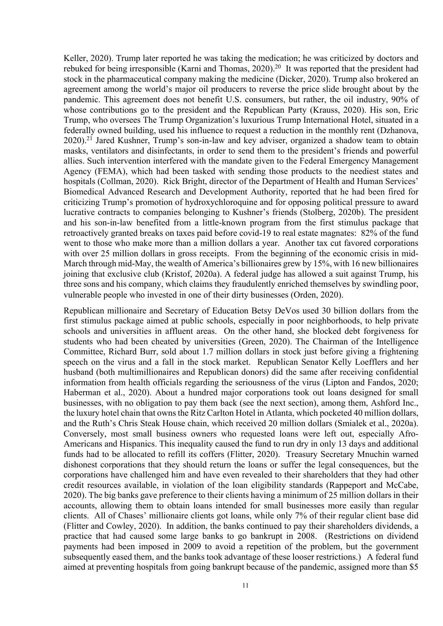Keller, 2020). Trump later reported he was taking the medication; he was criticized by doctors and rebuked for being irresponsible (Karni and Thomas, 2020).<sup>20</sup> It was reported that the president had stock in the pharmaceutical company making the medicine (Dicker, 2020). Trump also brokered an agreement among the world's major oil producers to reverse the price slide brought about by the pandemic. This agreement does not benefit U.S. consumers, but rather, the oil industry, 90% of whose contributions go to the president and the Republican Party (Krauss, 2020). His son, Eric Trump, who oversees The Trump Organization's luxurious Trump International Hotel, situated in a federally owned building, used his influence to request a reduction in the monthly rent (Dzhanova, 2020).<sup>21</sup> Jared Kushner, Trump's son-in-law and key adviser, organized a shadow team to obtain masks, ventilators and disinfectants, in order to send them to the president's friends and powerful allies. Such intervention interfered with the mandate given to the Federal Emergency Management Agency (FEMA), which had been tasked with sending those products to the neediest states and hospitals (Collman, 2020). Rick Bright, director of the Department of Health and Human Services' Biomedical Advanced Research and Development Authority, reported that he had been fired for criticizing Trump's promotion of hydroxychloroquine and for opposing political pressure to award lucrative contracts to companies belonging to Kushner's friends (Stolberg, 2020b). The president and his son-in-law benefited from a little-known program from the first stimulus package that retroactively granted breaks on taxes paid before covid-19 to real estate magnates: 82% of the fund went to those who make more than a million dollars a year. Another tax cut favored corporations with over 25 million dollars in gross receipts. From the beginning of the economic crisis in mid-March through mid-May, the wealth of America's billionaires grew by 15%, with 16 new billionaires joining that exclusive club (Kristof, 2020a). A federal judge has allowed a suit against Trump, his three sons and his company, which claims they fraudulently enriched themselves by swindling poor, vulnerable people who invested in one of their dirty businesses (Orden, 2020).

Republican millionaire and Secretary of Education Betsy DeVos used 30 billion dollars from the first stimulus package aimed at public schools, especially in poor neighborhoods, to help private schools and universities in affluent areas. On the other hand, she blocked debt forgiveness for students who had been cheated by universities (Green, 2020). The Chairman of the Intelligence Committee, Richard Burr, sold about 1.7 million dollars in stock just before giving a frightening speech on the virus and a fall in the stock market. Republican Senator Kelly Loefflers and her husband (both multimillionaires and Republican donors) did the same after receiving confidential information from health officials regarding the seriousness of the virus (Lipton and Fandos, 2020; Haberman et al., 2020). About a hundred major corporations took out loans designed for small businesses, with no obligation to pay them back (see the next section), among them, Ashford Inc., the luxury hotel chain that owns the Ritz Carlton Hotel in Atlanta, which pocketed 40 million dollars, and the Ruth's Chris Steak House chain, which received 20 million dollars (Smialek et al., 2020a). Conversely, most small business owners who requested loans were left out, especially Afro-Americans and Hispanics. This inequality caused the fund to run dry in only 13 days and additional funds had to be allocated to refill its coffers (Flitter, 2020). Treasury Secretary Mnuchin warned dishonest corporations that they should return the loans or suffer the legal consequences, but the corporations have challenged him and have even revealed to their shareholders that they had other credit resources available, in violation of the loan eligibility standards (Rappeport and McCabe, 2020). The big banks gave preference to their clients having a minimum of 25 million dollars in their accounts, allowing them to obtain loans intended for small businesses more easily than regular clients. All of Chases' millionaire clients got loans, while only 7% of their regular client base did (Flitter and Cowley, 2020). In addition, the banks continued to pay their shareholders dividends, a practice that had caused some large banks to go bankrupt in 2008. (Restrictions on dividend payments had been imposed in 2009 to avoid a repetition of the problem, but the government subsequently eased them, and the banks took advantage of these looser restrictions.) A federal fund aimed at preventing hospitals from going bankrupt because of the pandemic, assigned more than \$5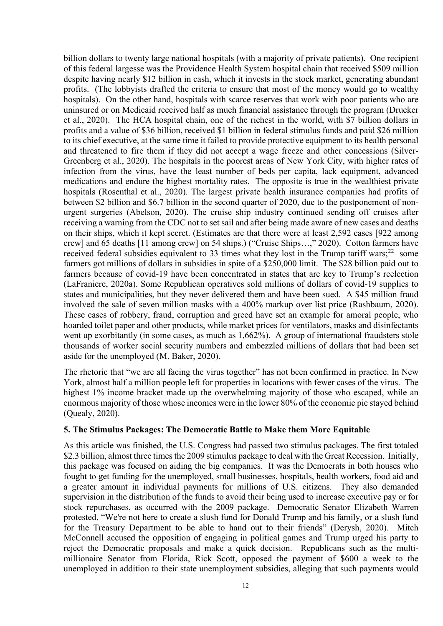billion dollars to twenty large national hospitals (with a majority of private patients). One recipient of this federal largesse was the Providence Health System hospital chain that received \$509 million despite having nearly \$12 billion in cash, which it invests in the stock market, generating abundant profits. (The lobbyists drafted the criteria to ensure that most of the money would go to wealthy hospitals). On the other hand, hospitals with scarce reserves that work with poor patients who are uninsured or on Medicaid received half as much financial assistance through the program (Drucker et al., 2020). The HCA hospital chain, one of the richest in the world, with \$7 billion dollars in profits and a value of \$36 billion, received \$1 billion in federal stimulus funds and paid \$26 million to its chief executive, at the same time it failed to provide protective equipment to its health personal and threatened to fire them if they did not accept a wage freeze and other concessions (Silver-Greenberg et al., 2020). The hospitals in the poorest areas of New York City, with higher rates of infection from the virus, have the least number of beds per capita, lack equipment, advanced medications and endure the highest mortality rates. The opposite is true in the wealthiest private hospitals (Rosenthal et al., 2020). The largest private health insurance companies had profits of between \$2 billion and \$6.7 billion in the second quarter of 2020, due to the postponement of nonurgent surgeries (Abelson, 2020). The cruise ship industry continued sending off cruises after receiving a warning from the CDC not to set sail and after being made aware of new cases and deaths on their ships, which it kept secret. (Estimates are that there were at least 2,592 cases [922 among crew] and 65 deaths [11 among crew] on 54 ships.) ("Cruise Ships…," 2020). Cotton farmers have received federal subsidies equivalent to 33 times what they lost in the Trump tariff wars; $22$  some farmers got millions of dollars in subsidies in spite of a \$250,000 limit. The \$28 billion paid out to farmers because of covid-19 have been concentrated in states that are key to Trump's reelection (LaFraniere, 2020a). Some Republican operatives sold millions of dollars of covid-19 supplies to states and municipalities, but they never delivered them and have been sued. A \$45 million fraud involved the sale of seven million masks with a 400% markup over list price (Rashbaum, 2020). These cases of robbery, fraud, corruption and greed have set an example for amoral people, who hoarded toilet paper and other products, while market prices for ventilators, masks and disinfectants went up exorbitantly (in some cases, as much as 1,662%). A group of international fraudsters stole thousands of worker social security numbers and embezzled millions of dollars that had been set aside for the unemployed (M. Baker, 2020).

The rhetoric that "we are all facing the virus together" has not been confirmed in practice. In New York, almost half a million people left for properties in locations with fewer cases of the virus. The highest 1% income bracket made up the overwhelming majority of those who escaped, while an enormous majority of those whose incomes were in the lower 80% of the economic pie stayed behind (Quealy, 2020).

## **5. The Stimulus Packages: The Democratic Battle to Make them More Equitable**

As this article was finished, the U.S. Congress had passed two stimulus packages. The first totaled \$2.3 billion, almost three times the 2009 stimulus package to deal with the Great Recession. Initially, this package was focused on aiding the big companies. It was the Democrats in both houses who fought to get funding for the unemployed, small businesses, hospitals, health workers, food aid and a greater amount in individual payments for millions of U.S. citizens. They also demanded supervision in the distribution of the funds to avoid their being used to increase executive pay or for stock repurchases, as occurred with the 2009 package. Democratic Senator Elizabeth Warren protested, "We're not here to create a slush fund for Donald Trump and his family, or a slush fund for the Treasury Department to be able to hand out to their friends" (Derysh, 2020). Mitch McConnell accused the opposition of engaging in political games and Trump urged his party to reject the Democratic proposals and make a quick decision. Republicans such as the multimillionaire Senator from Florida, Rick Scott, opposed the payment of \$600 a week to the unemployed in addition to their state unemployment subsidies, alleging that such payments would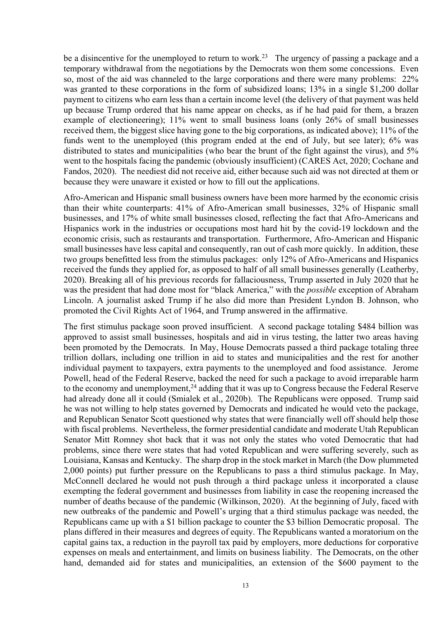be a disincentive for the unemployed to return to work.<sup>23</sup> The urgency of passing a package and a temporary withdrawal from the negotiations by the Democrats won them some concessions. Even so, most of the aid was channeled to the large corporations and there were many problems: 22% was granted to these corporations in the form of subsidized loans; 13% in a single \$1,200 dollar payment to citizens who earn less than a certain income level (the delivery of that payment was held up because Trump ordered that his name appear on checks, as if he had paid for them, a brazen example of electioneering); 11% went to small business loans (only 26% of small businesses received them, the biggest slice having gone to the big corporations, as indicated above); 11% of the funds went to the unemployed (this program ended at the end of July, but see later); 6% was distributed to states and municipalities (who bear the brunt of the fight against the virus), and 5% went to the hospitals facing the pandemic (obviously insufficient) (CARES Act, 2020; Cochane and Fandos, 2020). The neediest did not receive aid, either because such aid was not directed at them or because they were unaware it existed or how to fill out the applications.

Afro-American and Hispanic small business owners have been more harmed by the economic crisis than their white counterparts: 41% of Afro-American small businesses, 32% of Hispanic small businesses, and 17% of white small businesses closed, reflecting the fact that Afro-Americans and Hispanics work in the industries or occupations most hard hit by the covid-19 lockdown and the economic crisis, such as restaurants and transportation. Furthermore, Afro-American and Hispanic small businesses have less capital and consequently, ran out of cash more quickly. In addition, these two groups benefitted less from the stimulus packages: only 12% of Afro-Americans and Hispanics received the funds they applied for, as opposed to half of all small businesses generally (Leatherby, 2020). Breaking all of his previous records for fallaciousness, Trump asserted in July 2020 that he was the president that had done most for "black America," with the *possible* exception of Abraham Lincoln. A journalist asked Trump if he also did more than President Lyndon B. Johnson, who promoted the Civil Rights Act of 1964, and Trump answered in the affirmative.

The first stimulus package soon proved insufficient. A second package totaling \$484 billion was approved to assist small businesses, hospitals and aid in virus testing, the latter two areas having been promoted by the Democrats. In May, House Democrats passed a third package totaling three trillion dollars, including one trillion in aid to states and municipalities and the rest for another individual payment to taxpayers, extra payments to the unemployed and food assistance. Jerome Powell, head of the Federal Reserve, backed the need for such a package to avoid irreparable harm to the economy and unemployment,<sup>24</sup> adding that it was up to Congress because the Federal Reserve had already done all it could (Smialek et al., 2020b). The Republicans were opposed. Trump said he was not willing to help states governed by Democrats and indicated he would veto the package, and Republican Senator Scott questioned why states that were financially well off should help those with fiscal problems. Nevertheless, the former presidential candidate and moderate Utah Republican Senator Mitt Romney shot back that it was not only the states who voted Democratic that had problems, since there were states that had voted Republican and were suffering severely, such as Louisiana, Kansas and Kentucky. The sharp drop in the stock market in March (the Dow plummeted 2,000 points) put further pressure on the Republicans to pass a third stimulus package. In May, McConnell declared he would not push through a third package unless it incorporated a clause exempting the federal government and businesses from liability in case the reopening increased the number of deaths because of the pandemic (Wilkinson, 2020). At the beginning of July, faced with new outbreaks of the pandemic and Powell's urging that a third stimulus package was needed, the Republicans came up with a \$1 billion package to counter the \$3 billion Democratic proposal. The plans differed in their measures and degrees of equity. The Republicans wanted a moratorium on the capital gains tax, a reduction in the payroll tax paid by employers, more deductions for corporative expenses on meals and entertainment, and limits on business liability. The Democrats, on the other hand, demanded aid for states and municipalities, an extension of the \$600 payment to the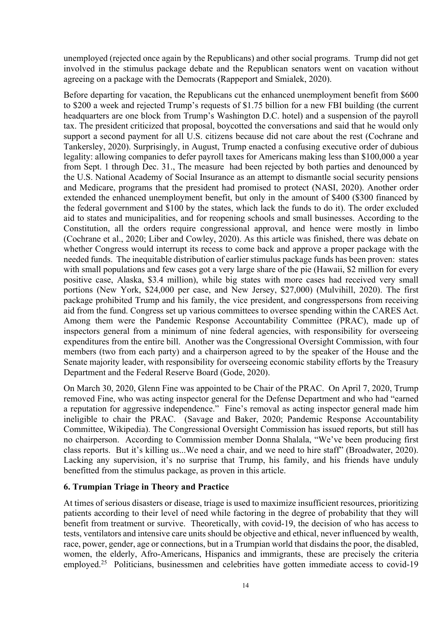unemployed (rejected once again by the Republicans) and other social programs. Trump did not get involved in the stimulus package debate and the Republican senators went on vacation without agreeing on a package with the Democrats (Rappeport and Smialek, 2020).

Before departing for vacation, the Republicans cut the enhanced unemployment benefit from \$600 to \$200 a week and rejected Trump's requests of \$1.75 billion for a new FBI building (the current headquarters are one block from Trump's Washington D.C. hotel) and a suspension of the payroll tax. The president criticized that proposal, boycotted the conversations and said that he would only support a second payment for all U.S. citizens because did not care about the rest (Cochrane and Tankersley, 2020). Surprisingly, in August, Trump enacted a confusing executive order of dubious legality: allowing companies to defer payroll taxes for Americans making less than \$100,000 a year from Sept. 1 through Dec. 31., The measure had been rejected by both parties and denounced by the U.S. National Academy of Social Insurance as an attempt to dismantle social security pensions and Medicare, programs that the president had promised to protect (NASI, 2020). Another order extended the enhanced unemployment benefit, but only in the amount of \$400 (\$300 financed by the federal government and \$100 by the states, which lack the funds to do it). The order excluded aid to states and municipalities, and for reopening schools and small businesses. According to the Constitution, all the orders require congressional approval, and hence were mostly in limbo (Cochrane et al., 2020; Liber and Cowley, 2020). As this article was finished, there was debate on whether Congress would interrupt its recess to come back and approve a proper package with the needed funds. The inequitable distribution of earlier stimulus package funds has been proven: states with small populations and few cases got a very large share of the pie (Hawaii, \$2 million for every positive case, Alaska, \$3.4 million), while big states with more cases had received very small portions (New York, \$24,000 per case, and New Jersey, \$27,000) (Mulvihill, 2020). The first package prohibited Trump and his family, the vice president, and congresspersons from receiving aid from the fund. Congress set up various committees to oversee spending within the CARES Act. Among them were the Pandemic Response Accountability Committee (PRAC), made up of inspectors general from a minimum of nine federal agencies, with responsibility for overseeing expenditures from the entire bill. Another was the Congressional Oversight Commission, with four members (two from each party) and a chairperson agreed to by the speaker of the House and the Senate majority leader, with responsibility for overseeing economic stability efforts by the Treasury Department and the Federal Reserve Board (Gode, 2020).

On March 30, 2020, Glenn Fine was appointed to be Chair of the PRAC. On April 7, 2020, Trump removed Fine, who was acting inspector general for the Defense Department and who had "earned a reputation for aggressive independence." Fine's removal as acting inspector general made him ineligible to chair the PRAC. (Savage and Baker, 2020; Pandemic Response Accountability Committee, Wikipedia). The Congressional Oversight Commission has issued reports, but still has no chairperson. According to Commission member Donna Shalala, "We've been producing first class reports. But it's killing us...We need a chair, and we need to hire staff" (Broadwater, 2020). Lacking any supervision, it's no surprise that Trump, his family, and his friends have unduly benefitted from the stimulus package, as proven in this article.

## **6. Trumpian Triage in Theory and Practice**

At times of serious disasters or disease, triage is used to maximize insufficient resources, prioritizing patients according to their level of need while factoring in the degree of probability that they will benefit from treatment or survive. Theoretically, with covid-19, the decision of who has access to tests, ventilators and intensive care units should be objective and ethical, never influenced by wealth, race, power, gender, age or connections, but in a Trumpian world that disdains the poor, the disabled, women, the elderly, Afro-Americans, Hispanics and immigrants, these are precisely the criteria employed.<sup>25</sup> Politicians, businessmen and celebrities have gotten immediate access to covid-19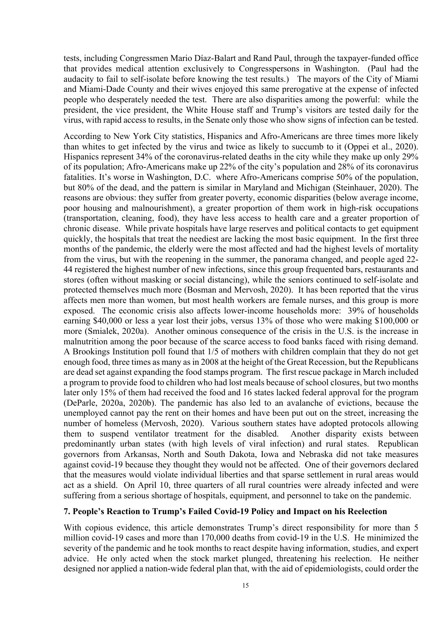tests, including Congressmen Mario Díaz-Balart and Rand Paul, through the taxpayer-funded office that provides medical attention exclusively to Congresspersons in Washington. (Paul had the audacity to fail to self-isolate before knowing the test results.) The mayors of the City of Miami and Miami-Dade County and their wives enjoyed this same prerogative at the expense of infected people who desperately needed the test. There are also disparities among the powerful: while the president, the vice president, the White House staff and Trump's visitors are tested daily for the virus, with rapid access to results, in the Senate only those who show signs of infection can be tested.

According to New York City statistics, Hispanics and Afro-Americans are three times more likely than whites to get infected by the virus and twice as likely to succumb to it (Oppei et al., 2020). Hispanics represent 34% of the coronavirus-related deaths in the city while they make up only 29% of its population; Afro-Americans make up 22% of the city's population and 28% of its coronavirus fatalities. It's worse in Washington, D.C. where Afro-Americans comprise 50% of the population, but 80% of the dead, and the pattern is similar in Maryland and Michigan (Steinhauer, 2020). The reasons are obvious: they suffer from greater poverty, economic disparities (below average income, poor housing and malnourishment), a greater proportion of them work in high-risk occupations (transportation, cleaning, food), they have less access to health care and a greater proportion of chronic disease. While private hospitals have large reserves and political contacts to get equipment quickly, the hospitals that treat the neediest are lacking the most basic equipment. In the first three months of the pandemic, the elderly were the most affected and had the highest levels of mortality from the virus, but with the reopening in the summer, the panorama changed, and people aged 22- 44 registered the highest number of new infections, since this group frequented bars, restaurants and stores (often without masking or social distancing), while the seniors continued to self-isolate and protected themselves much more (Bosman and Mervosh, 2020). It has been reported that the virus affects men more than women, but most health workers are female nurses, and this group is more exposed. The economic crisis also affects lower-income households more: 39% of households earning \$40,000 or less a year lost their jobs, versus 13% of those who were making \$100,000 or more (Smialek, 2020a). Another ominous consequence of the crisis in the U.S. is the increase in malnutrition among the poor because of the scarce access to food banks faced with rising demand. A Brookings Institution poll found that 1/5 of mothers with children complain that they do not get enough food, three times as many as in 2008 at the height of the Great Recession, but the Republicans are dead set against expanding the food stamps program. The first rescue package in March included a program to provide food to children who had lost meals because of school closures, but two months later only 15% of them had received the food and 16 states lacked federal approval for the program (DeParle, 2020a, 2020b). The pandemic has also led to an avalanche of evictions, because the unemployed cannot pay the rent on their homes and have been put out on the street, increasing the number of homeless (Mervosh, 2020). Various southern states have adopted protocols allowing them to suspend ventilator treatment for the disabled. Another disparity exists between predominantly urban states (with high levels of viral infection) and rural states. Republican governors from Arkansas, North and South Dakota, Iowa and Nebraska did not take measures against covid-19 because they thought they would not be affected. One of their governors declared that the measures would violate individual liberties and that sparse settlement in rural areas would act as a shield. On April 10, three quarters of all rural countries were already infected and were suffering from a serious shortage of hospitals, equipment, and personnel to take on the pandemic.

### **7. People's Reaction to Trump's Failed Covid-19 Policy and Impact on his Reelection**

With copious evidence, this article demonstrates Trump's direct responsibility for more than 5 million covid-19 cases and more than 170,000 deaths from covid-19 in the U.S. He minimized the severity of the pandemic and he took months to react despite having information, studies, and expert advice. He only acted when the stock market plunged, threatening his reelection. He neither designed nor applied a nation-wide federal plan that, with the aid of epidemiologists, could order the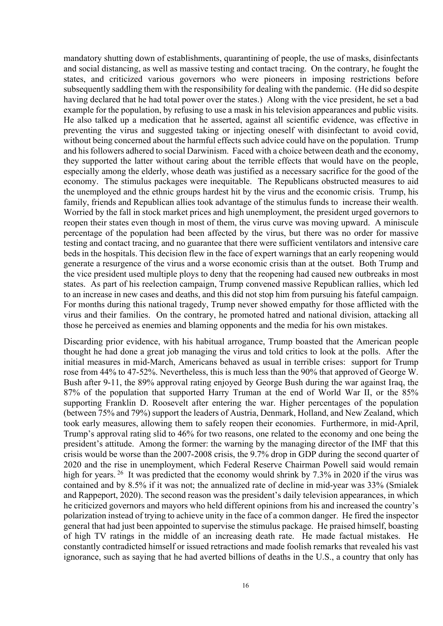mandatory shutting down of establishments, quarantining of people, the use of masks, disinfectants and social distancing, as well as massive testing and contact tracing. On the contrary, he fought the states, and criticized various governors who were pioneers in imposing restrictions before subsequently saddling them with the responsibility for dealing with the pandemic. (He did so despite having declared that he had total power over the states.) Along with the vice president, he set a bad example for the population, by refusing to use a mask in his television appearances and public visits. He also talked up a medication that he asserted, against all scientific evidence, was effective in preventing the virus and suggested taking or injecting oneself with disinfectant to avoid covid, without being concerned about the harmful effects such advice could have on the population. Trump and his followers adhered to social Darwinism. Faced with a choice between death and the economy, they supported the latter without caring about the terrible effects that would have on the people, especially among the elderly, whose death was justified as a necessary sacrifice for the good of the economy. The stimulus packages were inequitable. The Republicans obstructed measures to aid the unemployed and the ethnic groups hardest hit by the virus and the economic crisis. Trump, his family, friends and Republican allies took advantage of the stimulus funds to increase their wealth. Worried by the fall in stock market prices and high unemployment, the president urged governors to reopen their states even though in most of them, the virus curve was moving upward. A miniscule percentage of the population had been affected by the virus, but there was no order for massive testing and contact tracing, and no guarantee that there were sufficient ventilators and intensive care beds in the hospitals. This decision flew in the face of expert warnings that an early reopening would generate a resurgence of the virus and a worse economic crisis than at the outset. Both Trump and the vice president used multiple ploys to deny that the reopening had caused new outbreaks in most states. As part of his reelection campaign, Trump convened massive Republican rallies, which led to an increase in new cases and deaths, and this did not stop him from pursuing his fateful campaign. For months during this national tragedy, Trump never showed empathy for those afflicted with the virus and their families. On the contrary, he promoted hatred and national division, attacking all those he perceived as enemies and blaming opponents and the media for his own mistakes.

Discarding prior evidence, with his habitual arrogance, Trump boasted that the American people thought he had done a great job managing the virus and told critics to look at the polls. After the initial measures in mid-March, Americans behaved as usual in terrible crises: support for Trump rose from 44% to 47-52%. Nevertheless, this is much less than the 90% that approved of George W. Bush after 9-11, the 89% approval rating enjoyed by George Bush during the war against Iraq, the 87% of the population that supported Harry Truman at the end of World War II, or the 85% supporting Franklin D. Roosevelt after entering the war. Higher percentages of the population (between 75% and 79%) support the leaders of Austria, Denmark, Holland, and New Zealand, which took early measures, allowing them to safely reopen their economies. Furthermore, in mid-April, Trump's approval rating slid to 46% for two reasons, one related to the economy and one being the president's attitude. Among the former: the warning by the managing director of the IMF that this crisis would be worse than the 2007-2008 crisis, the 9.7% drop in GDP during the second quarter of 2020 and the rise in unemployment, which Federal Reserve Chairman Powell said would remain high for years. <sup>26</sup> It was predicted that the economy would shrink by 7.3% in 2020 if the virus was contained and by 8.5% if it was not; the annualized rate of decline in mid-year was 33% (Smialek and Rappeport, 2020). The second reason was the president's daily television appearances, in which he criticized governors and mayors who held different opinions from his and increased the country's polarization instead of trying to achieve unity in the face of a common danger. He fired the inspector general that had just been appointed to supervise the stimulus package. He praised himself, boasting of high TV ratings in the middle of an increasing death rate. He made factual mistakes. He constantly contradicted himself or issued retractions and made foolish remarks that revealed his vast ignorance, such as saying that he had averted billions of deaths in the U.S., a country that only has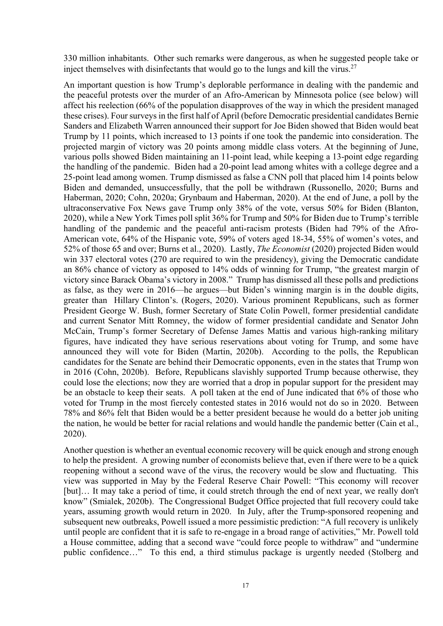330 million inhabitants. Other such remarks were dangerous, as when he suggested people take or inject themselves with disinfectants that would go to the lungs and kill the virus.<sup>27</sup>

An important question is how Trump's deplorable performance in dealing with the pandemic and the peaceful protests over the murder of an Afro-American by Minnesota police (see below) will affect his reelection (66% of the population disapproves of the way in which the president managed these crises). Four surveys in the first half of April (before Democratic presidential candidates Bernie Sanders and Elizabeth Warren announced their support for Joe Biden showed that Biden would beat Trump by 11 points, which increased to 13 points if one took the pandemic into consideration. The projected margin of victory was 20 points among middle class voters. At the beginning of June, various polls showed Biden maintaining an 11-point lead, while keeping a 13-point edge regarding the handling of the pandemic. Biden had a 20-point lead among whites with a college degree and a 25-point lead among women. Trump dismissed as false a CNN poll that placed him 14 points below Biden and demanded, unsuccessfully, that the poll be withdrawn (Russonello, 2020; Burns and Haberman, 2020; Cohn, 2020a; Grynbaum and Haberman, 2020). At the end of June, a poll by the ultraconservative Fox News gave Trump only 38% of the vote, versus 50% for Biden (Blanton, 2020), while a New York Times poll split 36% for Trump and 50% for Biden due to Trump's terrible handling of the pandemic and the peaceful anti-racism protests (Biden had 79% of the Afro-American vote, 64% of the Hispanic vote, 59% of voters aged 18-34, 55% of women's votes, and 52% of those 65 and over; Burns et al., 2020). Lastly, *The Economist* (2020) projected Biden would win 337 electoral votes (270 are required to win the presidency), giving the Democratic candidate an 86% chance of victory as opposed to 14% odds of winning for Trump, "the greatest margin of victory since Barack Obama's victory in 2008." Trump has dismissed all these polls and predictions as false, as they were in 2016—he argues—but Biden's winning margin is in the double digits, greater than Hillary Clinton's. (Rogers, 2020). Various prominent Republicans, such as former President George W. Bush, former Secretary of State Colin Powell, former presidential candidate and current Senator Mitt Romney, the widow of former presidential candidate and Senator John McCain, Trump's former Secretary of Defense James Mattis and various high-ranking military figures, have indicated they have serious reservations about voting for Trump, and some have announced they will vote for Biden (Martin, 2020b). According to the polls, the Republican candidates for the Senate are behind their Democratic opponents, even in the states that Trump won in 2016 (Cohn, 2020b). Before, Republicans slavishly supported Trump because otherwise, they could lose the elections; now they are worried that a drop in popular support for the president may be an obstacle to keep their seats. A poll taken at the end of June indicated that 6% of those who voted for Trump in the most fiercely contested states in 2016 would not do so in 2020. Between 78% and 86% felt that Biden would be a better president because he would do a better job uniting the nation, he would be better for racial relations and would handle the pandemic better (Cain et al., 2020).

Another question is whether an eventual economic recovery will be quick enough and strong enough to help the president. A growing number of economists believe that, even if there were to be a quick reopening without a second wave of the virus, the recovery would be slow and fluctuating. This view was supported in May by the Federal Reserve Chair Powell: "This economy will recover [but]... It may take a period of time, it could stretch through the end of next year, we really don't know" (Smialek, 2020b). The Congressional Budget Office projected that full recovery could take years, assuming growth would return in 2020. In July, after the Trump-sponsored reopening and subsequent new outbreaks, Powell issued a more pessimistic prediction: "A full recovery is unlikely until people are confident that it is safe to re-engage in a broad range of activities," Mr. Powell told a House committee, adding that a second wave "could force people to withdraw" and "undermine public confidence…" To this end, a third stimulus package is urgently needed (Stolberg and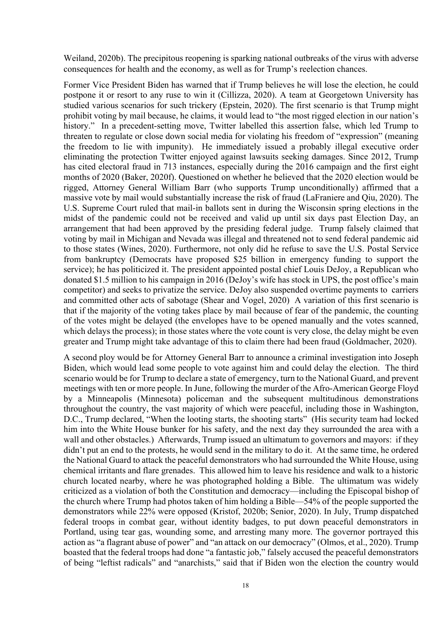Weiland, 2020b). The precipitous reopening is sparking national outbreaks of the virus with adverse consequences for health and the economy, as well as for Trump's reelection chances.

Former Vice President Biden has warned that if Trump believes he will lose the election, he could postpone it or resort to any ruse to win it (Cillizza, 2020). A team at Georgetown University has studied various scenarios for such trickery (Epstein, 2020). The first scenario is that Trump might prohibit voting by mail because, he claims, it would lead to "the most rigged election in our nation's history." In a precedent-setting move, Twitter labelled this assertion false, which led Trump to threaten to regulate or close down social media for violating his freedom of "expression" (meaning the freedom to lie with impunity). He immediately issued a probably illegal executive order eliminating the protection Twitter enjoyed against lawsuits seeking damages. Since 2012, Trump has cited electoral fraud in 713 instances, especially during the 2016 campaign and the first eight months of 2020 (Baker, 2020f). Questioned on whether he believed that the 2020 election would be rigged, Attorney General William Barr (who supports Trump unconditionally) affirmed that a massive vote by mail would substantially increase the risk of fraud (LaFraniere and Qiu, 2020). The U.S. Supreme Court ruled that mail-in ballots sent in during the Wisconsin spring elections in the midst of the pandemic could not be received and valid up until six days past Election Day, an arrangement that had been approved by the presiding federal judge. Trump falsely claimed that voting by mail in Michigan and Nevada was illegal and threatened not to send federal pandemic aid to those states (Wines, 2020). Furthermore, not only did he refuse to save the U.S. Postal Service from bankruptcy (Democrats have proposed \$25 billion in emergency funding to support the service); he has politicized it. The president appointed postal chief Louis DeJoy, a Republican who donated \$1.5 million to his campaign in 2016 (DeJoy's wife has stock in UPS, the post office's main competitor) and seeks to privatize the service. DeJoy also suspended overtime payments to carriers and committed other acts of sabotage (Shear and Vogel, 2020) A variation of this first scenario is that if the majority of the voting takes place by mail because of fear of the pandemic, the counting of the votes might be delayed (the envelopes have to be opened manually and the votes scanned, which delays the process); in those states where the vote count is very close, the delay might be even greater and Trump might take advantage of this to claim there had been fraud (Goldmacher, 2020).

A second ploy would be for Attorney General Barr to announce a criminal investigation into Joseph Biden, which would lead some people to vote against him and could delay the election. The third scenario would be for Trump to declare a state of emergency, turn to the National Guard, and prevent meetings with ten or more people. In June, following the murder of the Afro-American George Floyd by a Minneapolis (Minnesota) policeman and the subsequent multitudinous demonstrations throughout the country, the vast majority of which were peaceful, including those in Washington, D.C., Trump declared, "When the looting starts, the shooting starts" (His security team had locked him into the White House bunker for his safety, and the next day they surrounded the area with a wall and other obstacles.) Afterwards, Trump issued an ultimatum to governors and mayors: if they didn't put an end to the protests, he would send in the military to do it. At the same time, he ordered the National Guard to attack the peaceful demonstrators who had surrounded the White House, using chemical irritants and flare grenades. This allowed him to leave his residence and walk to a historic church located nearby, where he was photographed holding a Bible. The ultimatum was widely criticized as a violation of both the Constitution and democracy—including the Episcopal bishop of the church where Trump had photos taken of him holding a Bible—54% of the people supported the demonstrators while 22% were opposed (Kristof, 2020b; Senior, 2020). In July, Trump dispatched federal troops in combat gear, without identity badges, to put down peaceful demonstrators in Portland, using tear gas, wounding some, and arresting many more. The governor portrayed this action as "a flagrant abuse of power" and "an attack on our democracy" (Olmos, et al., 2020). Trump boasted that the federal troops had done "a fantastic job," falsely accused the peaceful demonstrators of being "leftist radicals" and "anarchists," said that if Biden won the election the country would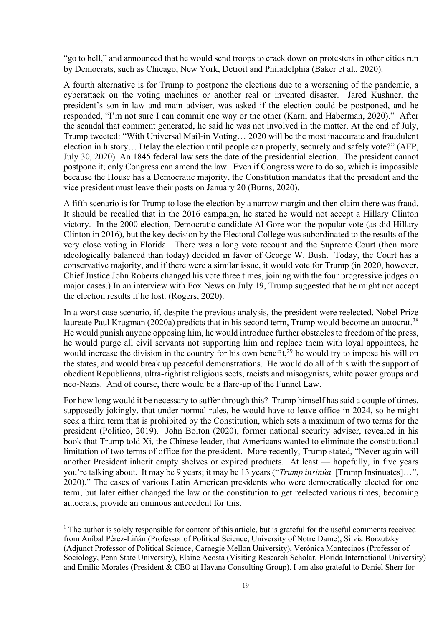"go to hell," and announced that he would send troops to crack down on protesters in other cities run by Democrats, such as Chicago, New York, Detroit and Philadelphia (Baker et al., 2020).

A fourth alternative is for Trump to postpone the elections due to a worsening of the pandemic, a cyberattack on the voting machines or another real or invented disaster. Jared Kushner, the president's son-in-law and main adviser, was asked if the election could be postponed, and he responded, "I'm not sure I can commit one way or the other (Karni and Haberman, 2020)." After the scandal that comment generated, he said he was not involved in the matter. At the end of July, Trump tweeted: "With Universal Mail-in Voting… 2020 will be the most inaccurate and fraudulent election in history… Delay the election until people can properly, securely and safely vote?" (AFP, July 30, 2020). An 1845 federal law sets the date of the presidential election. The president cannot postpone it; only Congress can amend the law. Even if Congress were to do so, which is impossible because the House has a Democratic majority, the Constitution mandates that the president and the vice president must leave their posts on January 20 (Burns, 2020).

A fifth scenario is for Trump to lose the election by a narrow margin and then claim there was fraud. It should be recalled that in the 2016 campaign, he stated he would not accept a Hillary Clinton victory. In the 2000 election, Democratic candidate Al Gore won the popular vote (as did Hillary Clinton in 2016), but the key decision by the Electoral College was subordinated to the results of the very close voting in Florida. There was a long vote recount and the Supreme Court (then more ideologically balanced than today) decided in favor of George W. Bush. Today, the Court has a conservative majority, and if there were a similar issue, it would vote for Trump (in 2020, however, Chief Justice John Roberts changed his vote three times, joining with the four progressive judges on major cases.) In an interview with Fox News on July 19, Trump suggested that he might not accept the election results if he lost. (Rogers, 2020).

In a worst case scenario, if, despite the previous analysis, the president were reelected, Nobel Prize laureate Paul Krugman (2020a) predicts that in his second term, Trump would become an autocrat.<sup>28</sup> He would punish anyone opposing him, he would introduce further obstacles to freedom of the press, he would purge all civil servants not supporting him and replace them with loyal appointees, he would increase the division in the country for his own benefit,<sup>29</sup> he would try to impose his will on the states, and would break up peaceful demonstrations. He would do all of this with the support of obedient Republicans, ultra-rightist religious sects, racists and misogynists, white power groups and neo-Nazis. And of course, there would be a flare-up of the Funnel Law.

For how long would it be necessary to suffer through this? Trump himself has said a couple of times, supposedly jokingly, that under normal rules, he would have to leave office in 2024, so he might seek a third term that is prohibited by the Constitution, which sets a maximum of two terms for the president (Politico, 2019). John Bolton (2020), former national security adviser, revealed in his book that Trump told Xi, the Chinese leader, that Americans wanted to eliminate the constitutional limitation of two terms of office for the president. More recently, Trump stated, "Never again will another President inherit empty shelves or expired products. At least — hopefully, in five years you're talking about. It may be 9 years; it may be 13 years ("*Trump insinúa* [Trump Insinuates]…", 2020)." The cases of various Latin American presidents who were democratically elected for one term, but later either changed the law or the constitution to get reelected various times, becoming autocrats, provide an ominous antecedent for this.

<sup>&</sup>lt;sup>1</sup> The author is solely responsible for content of this article, but is grateful for the useful comments received from Aníbal Pérez-Liñán (Professor of Political Science, University of Notre Dame), Silvia Borzutzky (Adjunct Professor of Political Science, Carnegie Mellon University), Verónica Montecinos (Professor of Sociology, Penn State University), Elaine Acosta (Visiting Research Scholar, Florida International University) and Emilio Morales (President & CEO at Havana Consulting Group). I am also grateful to Daniel Sherr for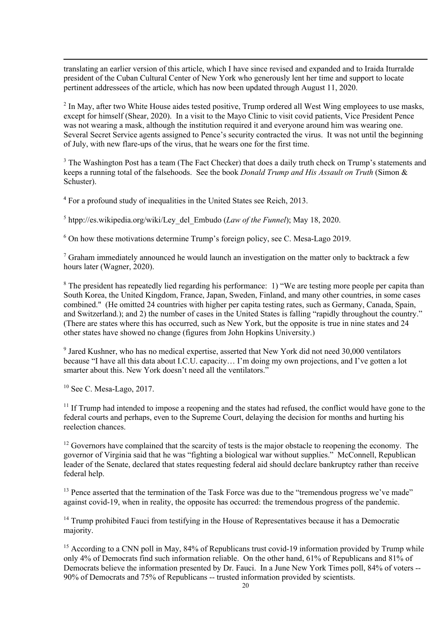translating an earlier version of this article, which I have since revised and expanded and to Iraida Iturralde president of the Cuban Cultural Center of New York who generously lent her time and support to locate pertinent addressees of the article, which has now been updated through August 11, 2020.

 $2 \text{ In May, after two White House sides tested positive, Trump ordered all West Wing employees to use masks, }$ except for himself (Shear, 2020). In a visit to the Mayo Clinic to visit covid patients, Vice President Pence was not wearing a mask, although the institution required it and everyone around him was wearing one. Several Secret Service agents assigned to Pence's security contracted the virus. It was not until the beginning of July, with new flare-ups of the virus, that he wears one for the first time.

<sup>3</sup> The Washington Post has a team (The Fact Checker) that does a daily truth check on Trump's statements and keeps a running total of the falsehoods. See the book *Donald Trump and His Assault on Truth* (Simon & Schuster).

<sup>4</sup> For a profound study of inequalities in the United States see Reich, 2013.

<sup>5</sup> htpp://es.wikipedia.org/wiki/Ley\_del\_Embudo (*Law of the Funnel*); May 18, 2020.

 $6$  On how these motivations determine Trump's foreign policy, see C. Mesa-Lago 2019.

 $<sup>7</sup>$  Graham immediately announced he would launch an investigation on the matter only to backtrack a few</sup> hours later (Wagner, 2020).

<sup>8</sup> The president has repeatedly lied regarding his performance: 1) "We are testing more people per capita than South Korea, the United Kingdom, France, Japan, Sweden, Finland, and many other countries, in some cases combined." (He omitted 24 countries with higher per capita testing rates, such as Germany, Canada, Spain, and Switzerland.); and 2) the number of cases in the United States is falling "rapidly throughout the country." (There are states where this has occurred, such as New York, but the opposite is true in nine states and 24 other states have showed no change (figures from John Hopkins University.)

 $9$  Jared Kushner, who has no medical expertise, asserted that New York did not need 30,000 ventilators because "I have all this data about I.C.U. capacity… I'm doing my own projections, and I've gotten a lot smarter about this. New York doesn't need all the ventilators."

 $10$  See C. Mesa-Lago, 2017.

 $11$  If Trump had intended to impose a reopening and the states had refused, the conflict would have gone to the federal courts and perhaps, even to the Supreme Court, delaying the decision for months and hurting his reelection chances.

 $12$  Governors have complained that the scarcity of tests is the major obstacle to reopening the economy. The governor of Virginia said that he was "fighting a biological war without supplies." McConnell, Republican leader of the Senate, declared that states requesting federal aid should declare bankruptcy rather than receive federal help.

<sup>13</sup> Pence asserted that the termination of the Task Force was due to the "tremendous progress we've made" against covid-19, when in reality, the opposite has occurred: the tremendous progress of the pandemic.

<sup>14</sup> Trump prohibited Fauci from testifying in the House of Representatives because it has a Democratic majority.

<sup>15</sup> According to a CNN poll in May, 84% of Republicans trust covid-19 information provided by Trump while only 4% of Democrats find such information reliable. On the other hand, 61% of Republicans and 81% of Democrats believe the information presented by Dr. Fauci. In a June New York Times poll, 84% of voters -- 90% of Democrats and 75% of Republicans -- trusted information provided by scientists.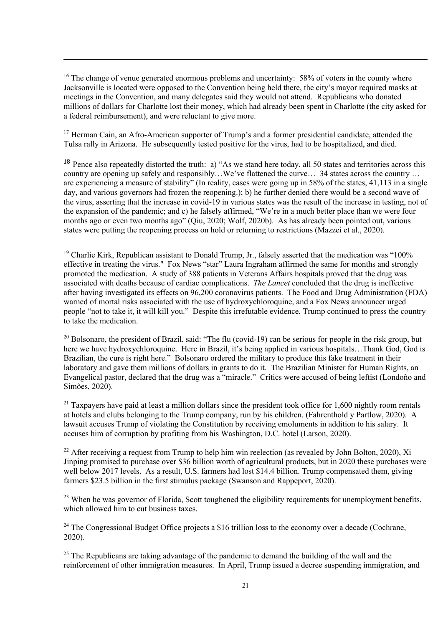$16$  The change of venue generated enormous problems and uncertainty: 58% of voters in the county where Jacksonville is located were opposed to the Convention being held there, the city's mayor required masks at meetings in the Convention, and many delegates said they would not attend. Republicans who donated millions of dollars for Charlotte lost their money, which had already been spent in Charlotte (the city asked for a federal reimbursement), and were reluctant to give more.

 $17$  Herman Cain, an Afro-American supporter of Trump's and a former presidential candidate, attended the Tulsa rally in Arizona. He subsequently tested positive for the virus, had to be hospitalized, and died.

<sup>18</sup> Pence also repeatedly distorted the truth: a) "As we stand here today, all 50 states and territories across this country are opening up safely and responsibly…We've flattened the curve… 34 states across the country … are experiencing a measure of stability" (In reality, cases were going up in 58% of the states, 41,113 in a single day, and various governors had frozen the reopening.); b) he further denied there would be a second wave of the virus, asserting that the increase in covid-19 in various states was the result of the increase in testing, not of the expansion of the pandemic; and c) he falsely affirmed, "We're in a much better place than we were four months ago or even two months ago" (Qiu, 2020; Wolf, 2020b). As has already been pointed out, various states were putting the reopening process on hold or returning to restrictions (Mazzei et al., 2020).

<sup>19</sup> Charlie Kirk, Republican assistant to Donald Trump, Jr., falsely asserted that the medication was "100% effective in treating the virus." Fox News "star" Laura Ingraham affirmed the same for months and strongly promoted the medication. A study of 388 patients in Veterans Affairs hospitals proved that the drug was associated with deaths because of cardiac complications. *The Lancet* concluded that the drug is ineffective after having investigated its effects on 96,200 coronavirus patients. The Food and Drug Administration (FDA) warned of mortal risks associated with the use of hydroxychloroquine, and a Fox News announcer urged people "not to take it, it will kill you." Despite this irrefutable evidence, Trump continued to press the country to take the medication.

<sup>20</sup> Bolsonaro, the president of Brazil, said: "The flu (covid-19) can be serious for people in the risk group, but here we have hydroxychloroquine. Here in Brazil, it's being applied in various hospitals…Thank God, God is Brazilian, the cure is right here." Bolsonaro ordered the military to produce this fake treatment in their laboratory and gave them millions of dollars in grants to do it. The Brazilian Minister for Human Rights, an Evangelical pastor, declared that the drug was a "miracle." Critics were accused of being leftist (Londoño and Simões, 2020).

 $21$  Taxpayers have paid at least a million dollars since the president took office for 1,600 nightly room rentals at hotels and clubs belonging to the Trump company, run by his children. (Fahrenthold y Partlow, 2020). A lawsuit accuses Trump of violating the Constitution by receiving emoluments in addition to his salary. It accuses him of corruption by profiting from his Washington, D.C. hotel (Larson, 2020).

<sup>22</sup> After receiving a request from Trump to help him win reelection (as revealed by John Bolton, 2020), Xi Jinping promised to purchase over \$36 billion worth of agricultural products, but in 2020 these purchases were well below 2017 levels. As a result, U.S. farmers had lost \$14.4 billion. Trump compensated them, giving farmers \$23.5 billion in the first stimulus package (Swanson and Rappeport, 2020).

<sup>23</sup> When he was governor of Florida, Scott toughened the eligibility requirements for unemployment benefits, which allowed him to cut business taxes.

 $^{24}$  The Congressional Budget Office projects a \$16 trillion loss to the economy over a decade (Cochrane, 2020).

 $25$  The Republicans are taking advantage of the pandemic to demand the building of the wall and the reinforcement of other immigration measures. In April, Trump issued a decree suspending immigration, and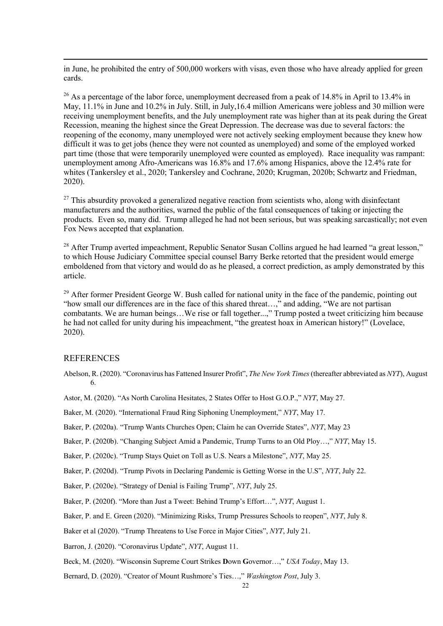in June, he prohibited the entry of 500,000 workers with visas, even those who have already applied for green cards.

 $^{26}$  As a percentage of the labor force, unemployment decreased from a peak of 14.8% in April to 13.4% in May, 11.1% in June and 10.2% in July. Still, in July,16.4 million Americans were jobless and 30 million were receiving unemployment benefits, and the July unemployment rate was higher than at its peak during the Great Recession, meaning the highest since the Great Depression. The decrease was due to several factors: the reopening of the economy, many unemployed were not actively seeking employment because they knew how difficult it was to get jobs (hence they were not counted as unemployed) and some of the employed worked part time (those that were temporarily unemployed were counted as employed). Race inequality was rampant: unemployment among Afro-Americans was 16.8% and 17.6% among Hispanics, above the 12.4% rate for whites (Tankersley et al., 2020; Tankersley and Cochrane, 2020; Krugman, 2020b; Schwartz and Friedman, 2020).

 $^{27}$  This absurdity provoked a generalized negative reaction from scientists who, along with disinfectant manufacturers and the authorities, warned the public of the fatal consequences of taking or injecting the products. Even so, many did. Trump alleged he had not been serious, but was speaking sarcastically; not even Fox News accepted that explanation.

<sup>28</sup> After Trump averted impeachment, Republic Senator Susan Collins argued he had learned "a great lesson," to which House Judiciary Committee special counsel Barry Berke retorted that the president would emerge emboldened from that victory and would do as he pleased, a correct prediction, as amply demonstrated by this article.

<sup>29</sup> After former President George W. Bush called for national unity in the face of the pandemic, pointing out "how small our differences are in the face of this shared threat...," and adding, "We are not partisan combatants. We are human beings…We rise or fall together...," Trump posted a tweet criticizing him because he had not called for unity during his impeachment, "the greatest hoax in American history!" (Lovelace, 2020).

#### **REFERENCES**

Abelson, R. (2020). "Coronavirus has Fattened Insurer Profit", *The New York Times*(thereafter abbreviated as *NYT*), August 6.

Astor, M. (2020). "As North Carolina Hesitates, 2 States Offer to Host G.O.P.," *NYT*, May 27.

Baker, M. (2020). "International Fraud Ring Siphoning Unemployment," *NYT*, May 17.

Baker, P. (2020a). "Trump Wants Churches Open; Claim he can Override States", *NYT*, May 23

Baker, P. (2020b). "Changing Subject Amid a Pandemic, Trump Turns to an Old Ploy…," *NYT*, May 15.

Baker, P. (2020c). "Trump Stays Quiet on Toll as U.S. Nears a Milestone", *NYT*, May 25.

Baker, P. (2020d). "Trump Pivots in Declaring Pandemic is Getting Worse in the U.S", *NYT*, July 22.

Baker, P. (2020e). "Strategy of Denial is Failing Trump", *NYT*, July 25.

Baker, P. (2020f). "More than Just a Tweet: Behind Trump's Effort…", *NYT*, August 1.

Baker, P. and E. Green (2020). "Minimizing Risks, Trump Pressures Schools to reopen", *NYT*, July 8.

Baker et al (2020). "Trump Threatens to Use Force in Major Cities", *NYT*, July 21.

Barron, J. (2020). "Coronavirus Update", *NYT*, August 11.

Beck, M. (2020). "Wisconsin Supreme Court Strikes **D**own **G**overnor…," *USA Today*, May 13.

Bernard, D. (2020). "Creator of Mount Rushmore's Ties…," *Washington Post*, July 3.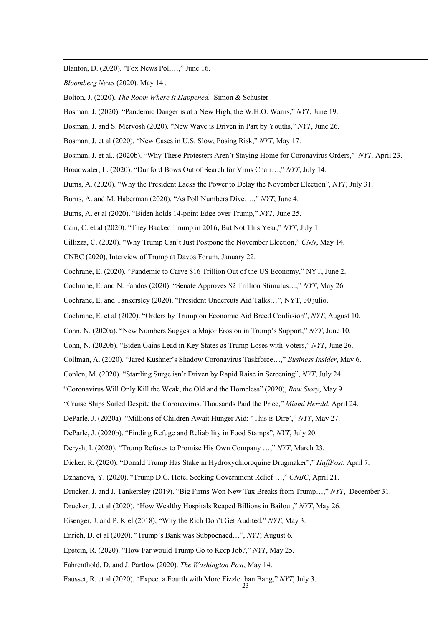Blanton, D. (2020). "Fox News Poll…," June 16.

*Bloomberg News* (2020). May 14 .

Bolton, J. (2020). *The Room Where It Happened.* Simon & Schuster

Bosman, J. (2020). "Pandemic Danger is at a New High, the W.H.O. Warns," *NYT*, June 19.

Bosman, J. and S. Mervosh (2020). "New Wave is Driven in Part by Youths," *NYT*, June 26.

Bosman, J. et al (2020). "New Cases in U.S. Slow, Posing Risk," *NYT*, May 17.

- Bosman, J. et al., (2020b). "Why These Protesters Aren't Staying Home for Coronavirus Orders," *NYT,* April 23.
- Broadwater, L. (2020). "Dunford Bows Out of Search for Virus Chair…," *NYT*, July 14.
- Burns, A. (2020). "Why the President Lacks the Power to Delay the November Election", *NYT*, July 31.
- Burns, A. and M. Haberman (2020). "As Poll Numbers Dive….," *NYT*, June 4.

Burns, A. et al (2020). "Biden holds 14-point Edge over Trump," *NYT*, June 25.

Cain, C. et al (2020). "They Backed Trump in 2016**,** But Not This Year," *NYT*, July 1.

Cillizza, C. (2020). "Why Trump Can't Just Postpone the November Election," *CNN*, May 14.

CNBC (2020), Interview of Trump at Davos Forum, January 22.

Cochrane, E. (2020). "Pandemic to Carve \$16 Trillion Out of the US Economy," NYT, June 2.

Cochrane, E. and N. Fandos (2020). "Senate Approves \$2 Trillion Stimulus…," *NYT*, May 26.

Cochrane, E. and Tankersley (2020). "President Undercuts Aid Talks…", NYT, 30 julio.

Cochrane, E. et al (2020). "Orders by Trump on Economic Aid Breed Confusion", *NYT*, August 10.

Cohn, N. (2020a). "New Numbers Suggest a Major Erosion in Trump's Support," *NYT*, June 10.

Cohn, N. (2020b). "Biden Gains Lead in Key States as Trump Loses with Voters," *NYT*, June 26.

Collman, A. (2020). "Jared Kushner's Shadow Coronavirus Taskforce…," *Business Insider*, May 6.

Conlen, M. (2020). "Startling Surge isn't Driven by Rapid Raise in Screening", *NYT*, July 24.

"Coronavirus Will Only Kill the Weak, the Old and the Homeless" (2020), *Raw Story*, May 9.

"Cruise Ships Sailed Despite the Coronavirus. Thousands Paid the Price," *Miami Herald*, April 24.

DeParle, J. (2020a). "Millions of Children Await Hunger Aid: "This is Dire'," *NYT*, May 27.

DeParle, J. (2020b). "Finding Refuge and Reliability in Food Stamps", *NYT*, July 20.

Derysh, I. (2020). "Trump Refuses to Promise His Own Company …," *NYT*, March 23.

Dicker, R. (2020). "Donald Trump Has Stake in Hydroxychloroquine Drugmaker"," *HuffPost*, April 7.

Dzhanova, Y. (2020). "Trump D.C. Hotel Seeking Government Relief …," *CNBC*, April 21.

Drucker, J. and J. Tankersley (2019). "Big Firms Won New Tax Breaks from Trump…," *NYT*, December 31.

Drucker, J. et al (2020). "How Wealthy Hospitals Reaped Billions in Bailout," *NYT*, May 26.

Eisenger, J. and P. Kiel (2018), "Why the Rich Don't Get Audited," *NYT*, May 3.

Enrich, D. et al (2020). "Trump's Bank was Subpoenaed…", *NYT*, August 6.

Epstein, R. (2020). "How Far would Trump Go to Keep Job?," *NYT*, May 25.

Fahrenthold, D. and J. Partlow (2020). *The Washington Post*, May 14.

Fausset, R. et al (2020). "Expect a Fourth with More Fizzle than Bang," *NYT*, July 3.

23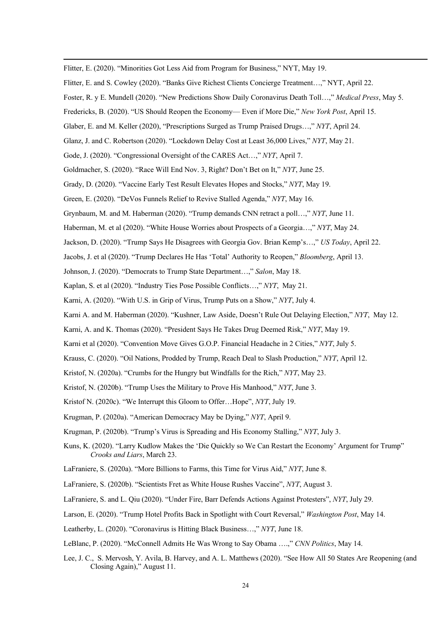Flitter, E. (2020). "Minorities Got Less Aid from Program for Business," NYT, May 19.

- Flitter, E. and S. Cowley (2020). "Banks Give Richest Clients Concierge Treatment…," NYT, April 22.
- Foster, R. y E. Mundell (2020). "New Predictions Show Daily Coronavirus Death Toll…," *Medical Press*, May 5.
- Fredericks, B. (2020). "US Should Reopen the Economy— Even if More Die," *New York Post*, April 15.
- Glaber, E. and M. Keller (2020), "Prescriptions Surged as Trump Praised Drugs…," *NYT*, April 24.
- Glanz, J. and C. Robertson (2020). "Lockdown Delay Cost at Least 36,000 Lives," *NYT*, May 21.
- Gode, J. (2020). "Congressional Oversight of the CARES Act…," *NYT*, April 7.
- Goldmacher, S. (2020). "Race Will End Nov. 3, Right? Don't Bet on It," *NYT*, June 25.
- Grady, D. (2020). "Vaccine Early Test Result Elevates Hopes and Stocks," *NYT*, May 19.
- Green, E. (2020). "DeVos Funnels Relief to Revive Stalled Agenda," *NYT*, May 16.
- Grynbaum, M. and M. Haberman (2020). "Trump demands CNN retract a poll…," *NYT*, June 11.
- Haberman, M. et al (2020). "White House Worries about Prospects of a Georgia…," *NYT*, May 24.
- Jackson, D. (2020). "Trump Says He Disagrees with Georgia Gov. Brian Kemp's…," *US Today*, April 22.
- Jacobs, J. et al (2020). "Trump Declares He Has 'Total' Authority to Reopen," *Bloomberg*, April 13.
- Johnson, J. (2020). "Democrats to Trump State Department…," *Salon*, May 18.
- Kaplan, S. et al (2020). "Industry Ties Pose Possible Conflicts…," *NYT*, May 21.
- Karni, A. (2020). "With U.S. in Grip of Virus, Trump Puts on a Show," *NYT*, July 4.
- Karni A. and M. Haberman (2020). "Kushner, Law Aside, Doesn't Rule Out Delaying Election," *NYT*, May 12.
- Karni, A. and K. Thomas (2020). "President Says He Takes Drug Deemed Risk," *NYT*, May 19.
- Karni et al (2020). "Convention Move Gives G.O.P. Financial Headache in 2 Cities," *NYT*, July 5.
- Krauss, C. (2020). "Oil Nations, Prodded by Trump, Reach Deal to Slash Production," *NYT*, April 12.
- Kristof, N. (2020a). "Crumbs for the Hungry but Windfalls for the Rich," *NYT*, May 23.
- Kristof, N. (2020b). "Trump Uses the Military to Prove His Manhood," *NYT*, June 3.

Kristof N. (2020c). "We Interrupt this Gloom to Offer…Hope", *NYT*, July 19.

- Krugman, P. (2020a). "American Democracy May be Dying," *NYT*, April 9.
- Krugman, P. (2020b). "Trump's Virus is Spreading and His Economy Stalling," *NYT*, July 3.
- Kuns, K. (2020). "Larry Kudlow Makes the 'Die Quickly so We Can Restart the Economy' Argument for Trump" *Crooks and Liars*, March 23.
- LaFraniere, S. (2020a). "More Billions to Farms, this Time for Virus Aid," *NYT*, June 8.
- LaFraniere, S. (2020b). "Scientists Fret as White House Rushes Vaccine", *NYT*, August 3.
- LaFraniere, S. and L. Qiu (2020). "Under Fire, Barr Defends Actions Against Protesters", *NYT*, July 29.
- Larson, E. (2020). "Trump Hotel Profits Back in Spotlight with Court Reversal," *Washington Post*, May 14.
- Leatherby, L. (2020). "Coronavirus is Hitting Black Business…," *NYT*, June 18.
- LeBlanc, P. (2020). "McConnell Admits He Was Wrong to Say Obama ….," *CNN Politics*, May 14.
- Lee, J. C., S. Mervosh, Y. Avila, B. Harvey, and A. L. Matthews (2020). "See How All 50 States Are Reopening (and Closing Again)," August 11.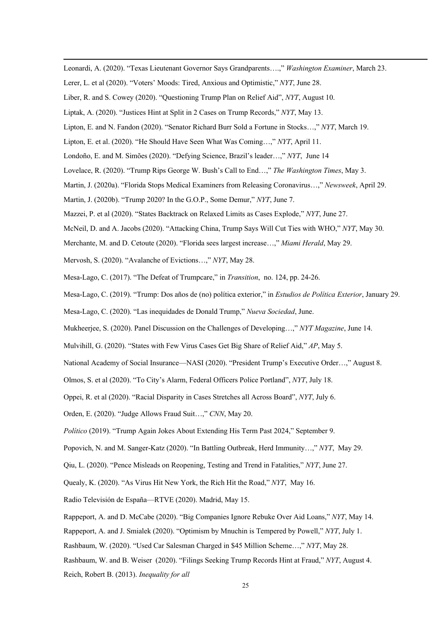Leonardi, A. (2020). "Texas Lieutenant Governor Says Grandparents….," *Washington Examiner*, March 23.

Lerer, L. et al (2020). "Voters' Moods: Tired, Anxious and Optimistic," *NYT*, June 28.

Liber, R. and S. Cowey (2020). "Questioning Trump Plan on Relief Aid", *NYT*, August 10.

- Liptak, A. (2020). "Justices Hint at Split in 2 Cases on Trump Records," *NYT*, May 13.
- Lipton, E. and N. Fandon (2020). "Senator Richard Burr Sold a Fortune in Stocks…," *NYT*, March 19.
- Lipton, E. et al. (2020). "He Should Have Seen What Was Coming…," *NYT*, April 11.
- Londoño, E. and M. Simões (2020). "Defying Science, Brazil's leader…," *NYT*, June 14
- Lovelace, R. (2020). "Trump Rips George W. Bush's Call to End…," *The Washington Times*, May 3.
- Martin, J. (2020a). "Florida Stops Medical Examiners from Releasing Coronavirus…," *Newsweek*, April 29.
- Martin, J. (2020b). "Trump 2020? In the G.O.P., Some Demur," *NYT*, June 7.
- Mazzei, P. et al (2020). "States Backtrack on Relaxed Limits as Cases Explode," *NYT*, June 27.
- McNeil, D. and A. Jacobs (2020). "Attacking China, Trump Says Will Cut Ties with WHO," *NYT*, May 30.
- Merchante, M. and D. Cetoute (2020). "Florida sees largest increase…," *Miami Herald*, May 29.
- Mervosh, S. (2020). "Avalanche of Evictions…," *NYT*, May 28.
- Mesa-Lago, C. (2017). "The Defeat of Trumpcare," in *Transition*, no. 124, pp. 24-26.
- Mesa-Lago, C. (2019). "Trump: Dos años de (no) política exterior," in *Estudios de Política Exterior*, January 29.
- Mesa-Lago, C. (2020). "Las inequidades de Donald Trump," *Nueva Sociedad*, June.
- Mukheerjee, S. (2020). Panel Discussion on the Challenges of Developing…," *NYT Magazine*, June 14.
- Mulvihill, G. (2020). "States with Few Virus Cases Get Big Share of Relief Aid," *AP*, May 5.
- National Academy of Social Insurance—NASI (2020). "President Trump's Executive Order…," August 8.
- Olmos, S. et al (2020). "To City's Alarm, Federal Officers Police Portland", *NYT*, July 18.

Oppei, R. et al (2020). "Racial Disparity in Cases Stretches all Across Board", *NYT*, July 6.

Orden, E. (2020). "Judge Allows Fraud Suit…," *CNN*, May 20.

*Político* (2019). "Trump Again Jokes About Extending His Term Past 2024," September 9.

Popovich, N. and M. Sanger-Katz (2020). "In Battling Outbreak, Herd Immunity…," *NYT*, May 29.

Qiu, L. (2020). "Pence Misleads on Reopening, Testing and Trend in Fatalities," *NYT*, June 27.

Quealy, K. (2020). "As Virus Hit New York, the Rich Hit the Road," *NYT*, May 16.

Radio Televisión de España—RTVE (2020). Madrid, May 15.

Rappeport, A. and D. McCabe (2020). "Big Companies Ignore Rebuke Over Aid Loans," *NYT*, May 14.

Rappeport, A. and J. Smialek (2020). "Optimism by Mnuchin is Tempered by Powell," *NYT*, July 1.

Rashbaum, W. (2020). "Used Car Salesman Charged in \$45 Million Scheme…," *NYT*, May 28.

Rashbaum, W. and B. Weiser (2020). "Filings Seeking Trump Records Hint at Fraud," *NYT*, August 4.

Reich, Robert B. (2013). *Inequality for all*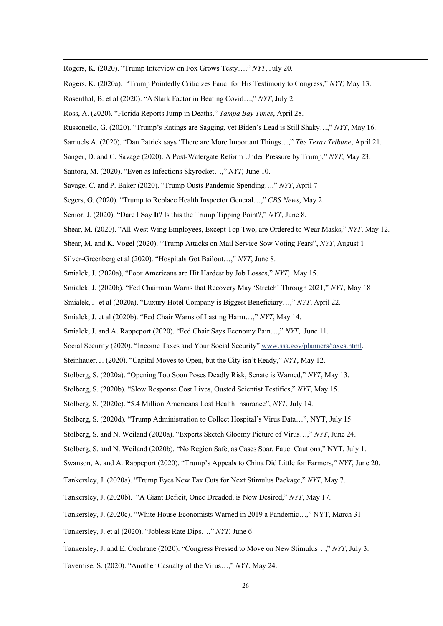Rogers, K. (2020). "Trump Interview on Fox Grows Testy…," *NYT*, July 20.

- Rogers, K. (2020a). "Trump Pointedly Criticizes Fauci for His Testimony to Congress," *NYT,* May 13.
- Rosenthal, B. et al (2020). "A Stark Factor in Beating Covid…," *NYT*, July 2.
- Ross, A. (2020). "Florida Reports Jump in Deaths," *Tampa Bay Times*, April 28.
- Russonello, G. (2020). "Trump's Ratings are Sagging, yet Biden's Lead is Still Shaky…," *NYT*, May 16.
- Samuels A. (2020). "Dan Patrick says 'There are More Important Things…," *The Texas Tribune*, April 21.
- Sanger, D. and C. Savage (2020). A Post-Watergate Reform Under Pressure by Trump," *NYT*, May 23.
- Santora, M. (2020). "Even as Infections Skyrocket…," *NYT*, June 10.
- Savage, C. and P. Baker (2020). "Trump Ousts Pandemic Spending…," *NYT*, April 7
- Segers, G. (2020). "Trump to Replace Health Inspector General…," *CBS News*, May 2.
- Senior, J. (2020). "Dare I **S**ay **I**t? Is this the Trump Tipping Point?," *NYT*, June 8.
- Shear, M. (2020). "All West Wing Employees, Except Top Two, are Ordered to Wear Masks," *NYT*, May 12.
- Shear, M. and K. Vogel (2020). "Trump Attacks on Mail Service Sow Voting Fears", *NYT*, August 1.
- Silver-Greenberg et al (2020). "Hospitals Got Bailout…," *NYT*, June 8.
- Smialek, J. (2020a), "Poor Americans are Hit Hardest by Job Losses," *NYT*, May 15.
- Smialek, J. (2020b). "Fed Chairman Warns that Recovery May 'Stretch' Through 2021," *NYT*, May 18
- Smialek, J. et al (2020a). "Luxury Hotel Company is Biggest Beneficiary…," *NYT*, April 22.
- Smialek, J. et al (2020b). "Fed Chair Warns of Lasting Harm…," *NYT*, May 14.
- Smialek, J. and A. Rappeport (2020). "Fed Chair Says Economy Pain…," *NYT*, June 11.
- Social Security (2020). "Income Taxes and Your Social Security" www.ssa.gov/planners/taxes.html.
- Steinhauer, J. (2020). "Capital Moves to Open, but the City isn't Ready," *NYT*, May 12.
- Stolberg, S. (2020a). "Opening Too Soon Poses Deadly Risk, Senate is Warned," *NYT*, May 13.
- Stolberg, S. (2020b). "Slow Response Cost Lives, Ousted Scientist Testifies," *NYT*, May 15.
- Stolberg, S. (2020c). "5.4 Million Americans Lost Health Insurance", *NYT*, July 14.
- Stolberg, S. (2020d). "Trump Administration to Collect Hospital's Virus Data…", NYT, July 15.
- Stolberg, S. and N. Weiland (2020a). "Experts Sketch Gloomy Picture of Virus…," *NYT*, June 24.
- Stolberg, S. and N. Weiland (2020b). "No Region Safe, as Cases Soar, Fauci Cautions," NYT, July 1.
- Swanson, A. and A. Rappeport (2020). "Trump's Appeal**s** to China Did Little for Farmers," *NYT*, June 20.
- Tankersley, J. (2020a). "Trump Eyes New Tax Cuts for Next Stimulus Package," *NYT*, May 7.
- Tankersley, J. (2020b). "A Giant Deficit, Once Dreaded, is Now Desired," *NYT*, May 17.
- Tankersley, J. (2020c). "White House Economists Warned in 2019 a Pandemic…," NYT, March 31.
- Tankersley, J. et al (2020). "Jobless Rate Dips…," *NYT*, June 6

.

- Tankersley, J. and E. Cochrane (2020). "Congress Pressed to Move on New Stimulus…," *NYT*, July 3.
- Tavernise, S. (2020). "Another Casualty of the Virus…," *NYT*, May 24.